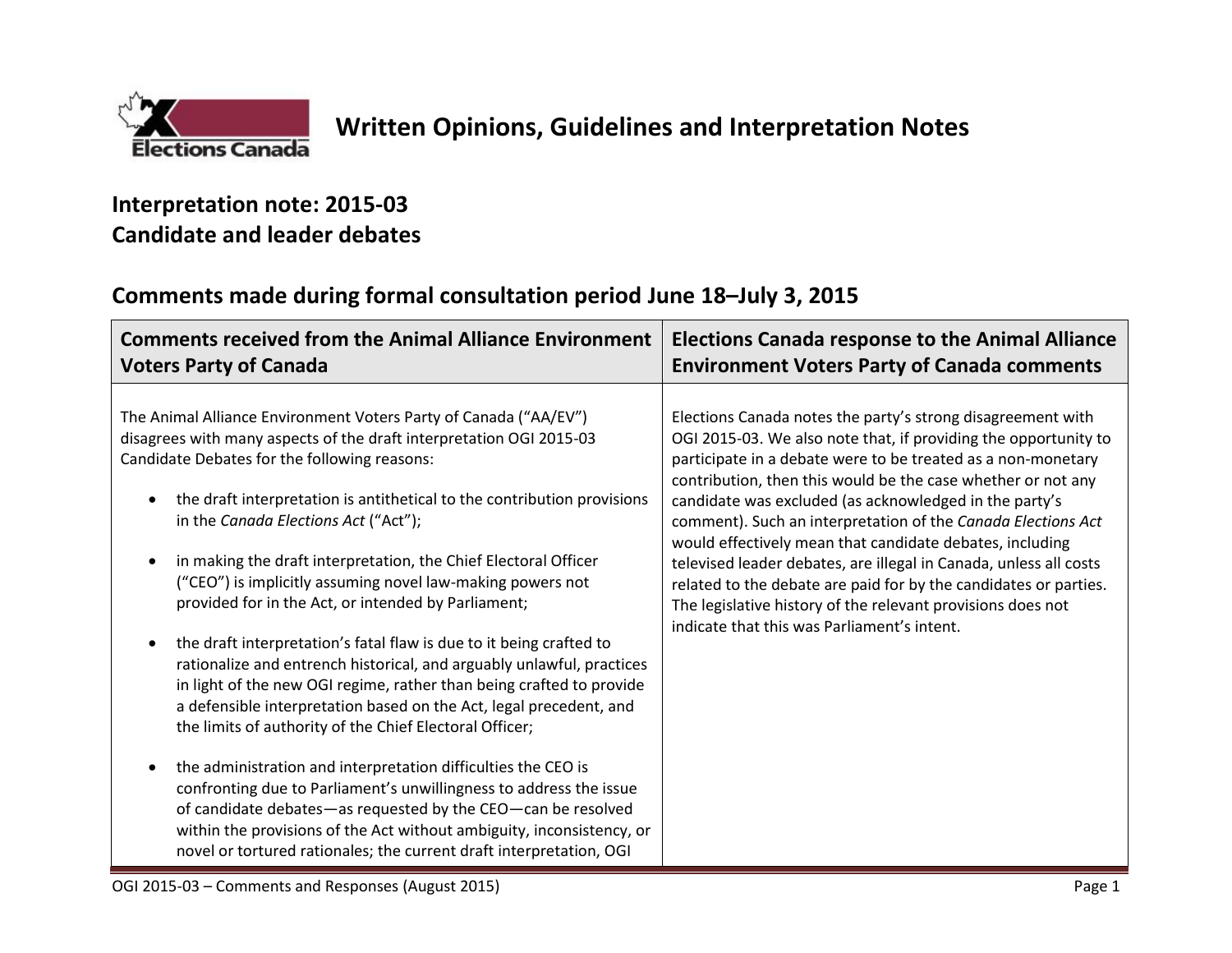

## **Interpretation note: 2015-03 Candidate and leader debates**

## **Comments made during formal consultation period June 18–July 3, 2015**

| <b>Comments received from the Animal Alliance Environment</b>                                                                                                                                                                                                                                                                                                                                                                                                                                                                                                                                                                                                                                                                                                                                                                                                                                                                                                                                                                                                                                                                                                                                                      | <b>Elections Canada response to the Animal Alliance</b>                                                                                                                                                                                                                                                                                                                                                                                                                                                                                                                                                                                                                                                     |
|--------------------------------------------------------------------------------------------------------------------------------------------------------------------------------------------------------------------------------------------------------------------------------------------------------------------------------------------------------------------------------------------------------------------------------------------------------------------------------------------------------------------------------------------------------------------------------------------------------------------------------------------------------------------------------------------------------------------------------------------------------------------------------------------------------------------------------------------------------------------------------------------------------------------------------------------------------------------------------------------------------------------------------------------------------------------------------------------------------------------------------------------------------------------------------------------------------------------|-------------------------------------------------------------------------------------------------------------------------------------------------------------------------------------------------------------------------------------------------------------------------------------------------------------------------------------------------------------------------------------------------------------------------------------------------------------------------------------------------------------------------------------------------------------------------------------------------------------------------------------------------------------------------------------------------------------|
| <b>Voters Party of Canada</b>                                                                                                                                                                                                                                                                                                                                                                                                                                                                                                                                                                                                                                                                                                                                                                                                                                                                                                                                                                                                                                                                                                                                                                                      | <b>Environment Voters Party of Canada comments</b>                                                                                                                                                                                                                                                                                                                                                                                                                                                                                                                                                                                                                                                          |
| The Animal Alliance Environment Voters Party of Canada ("AA/EV")<br>disagrees with many aspects of the draft interpretation OGI 2015-03<br>Candidate Debates for the following reasons:<br>the draft interpretation is antithetical to the contribution provisions<br>in the Canada Elections Act ("Act");<br>in making the draft interpretation, the Chief Electoral Officer<br>("CEO") is implicitly assuming novel law-making powers not<br>provided for in the Act, or intended by Parliament;<br>the draft interpretation's fatal flaw is due to it being crafted to<br>rationalize and entrench historical, and arguably unlawful, practices<br>in light of the new OGI regime, rather than being crafted to provide<br>a defensible interpretation based on the Act, legal precedent, and<br>the limits of authority of the Chief Electoral Officer;<br>the administration and interpretation difficulties the CEO is<br>confronting due to Parliament's unwillingness to address the issue<br>of candidate debates-as requested by the CEO-can be resolved<br>within the provisions of the Act without ambiguity, inconsistency, or<br>novel or tortured rationales; the current draft interpretation, OGI | Elections Canada notes the party's strong disagreement with<br>OGI 2015-03. We also note that, if providing the opportunity to<br>participate in a debate were to be treated as a non-monetary<br>contribution, then this would be the case whether or not any<br>candidate was excluded (as acknowledged in the party's<br>comment). Such an interpretation of the Canada Elections Act<br>would effectively mean that candidate debates, including<br>televised leader debates, are illegal in Canada, unless all costs<br>related to the debate are paid for by the candidates or parties.<br>The legislative history of the relevant provisions does not<br>indicate that this was Parliament's intent. |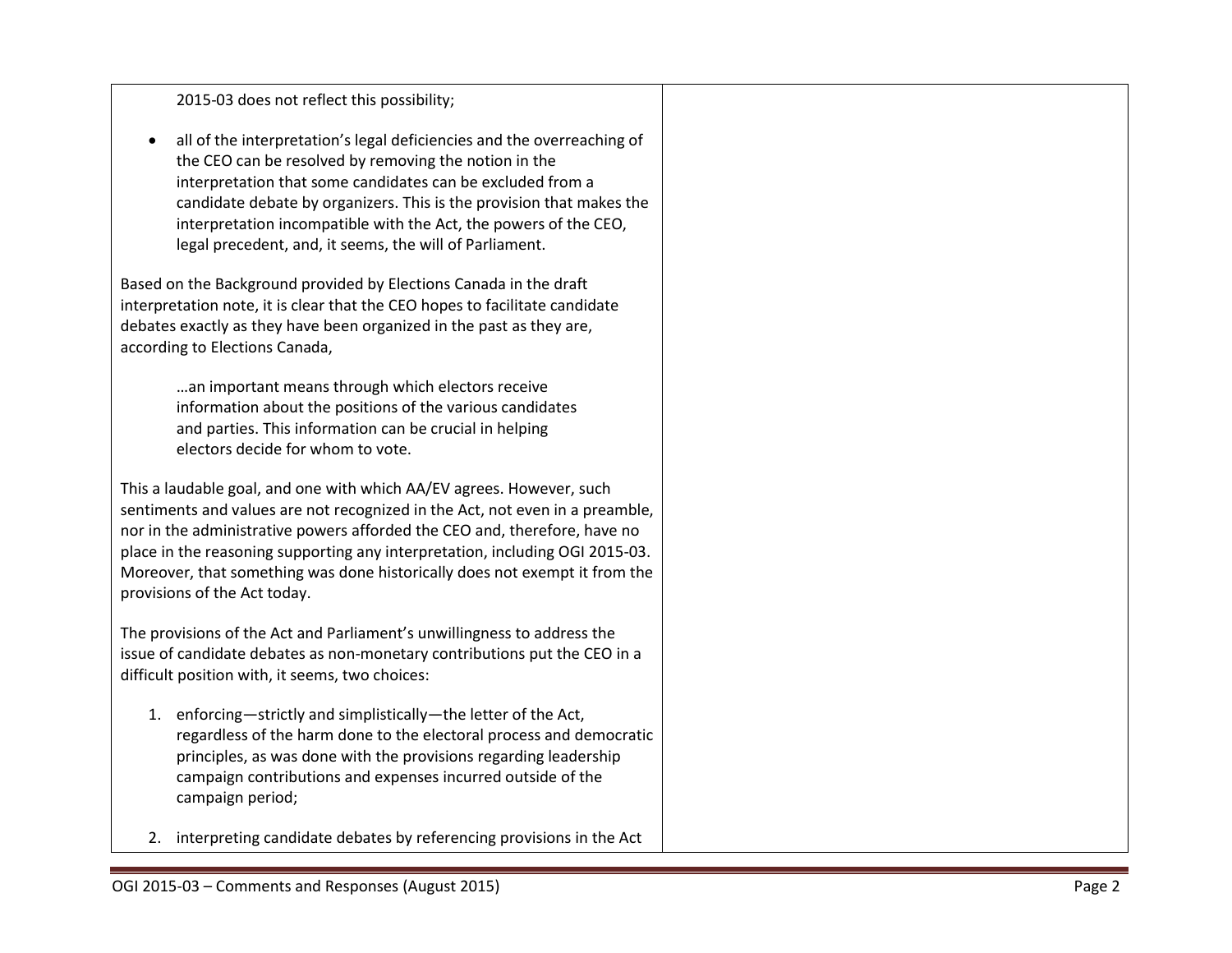| 2015-03 does not reflect this possibility;                                                                                                                                                                                                                                                                                                                                                                                      |  |
|---------------------------------------------------------------------------------------------------------------------------------------------------------------------------------------------------------------------------------------------------------------------------------------------------------------------------------------------------------------------------------------------------------------------------------|--|
| all of the interpretation's legal deficiencies and the overreaching of<br>the CEO can be resolved by removing the notion in the<br>interpretation that some candidates can be excluded from a<br>candidate debate by organizers. This is the provision that makes the<br>interpretation incompatible with the Act, the powers of the CEO,<br>legal precedent, and, it seems, the will of Parliament.                            |  |
| Based on the Background provided by Elections Canada in the draft<br>interpretation note, it is clear that the CEO hopes to facilitate candidate<br>debates exactly as they have been organized in the past as they are,<br>according to Elections Canada,                                                                                                                                                                      |  |
| an important means through which electors receive<br>information about the positions of the various candidates<br>and parties. This information can be crucial in helping<br>electors decide for whom to vote.                                                                                                                                                                                                                  |  |
| This a laudable goal, and one with which AA/EV agrees. However, such<br>sentiments and values are not recognized in the Act, not even in a preamble,<br>nor in the administrative powers afforded the CEO and, therefore, have no<br>place in the reasoning supporting any interpretation, including OGI 2015-03.<br>Moreover, that something was done historically does not exempt it from the<br>provisions of the Act today. |  |
| The provisions of the Act and Parliament's unwillingness to address the<br>issue of candidate debates as non-monetary contributions put the CEO in a<br>difficult position with, it seems, two choices:                                                                                                                                                                                                                         |  |
| enforcing-strictly and simplistically-the letter of the Act,<br>1.<br>regardless of the harm done to the electoral process and democratic<br>principles, as was done with the provisions regarding leadership<br>campaign contributions and expenses incurred outside of the<br>campaign period;                                                                                                                                |  |
| 2. interpreting candidate debates by referencing provisions in the Act                                                                                                                                                                                                                                                                                                                                                          |  |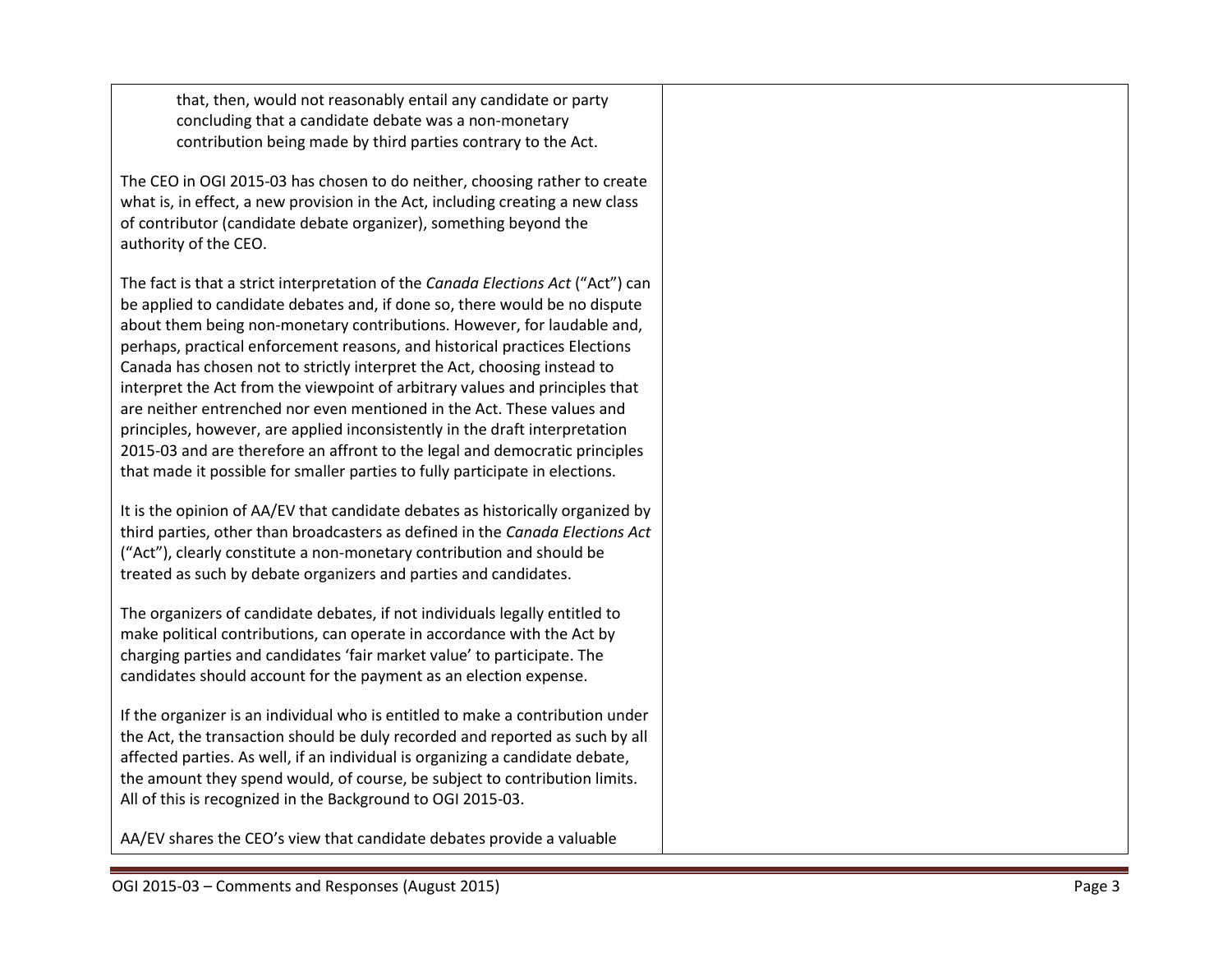that, then, would not reasonably entail any candidate or party concluding that a candidate debate was a non -monetary contribution being made by third parties contrary to the Act.

The CEO in OGI 2015 -03 has chosen to do neither, choosing rather to create what is, in effect, a new provision in the Act, including creating a new class of contributor (candidate debate organizer), something beyond the authority of the CEO.

The fact is that a strict interpretation of the *Canada Elections Act* ("Act") can be applied to candidate debates and, if done so, there would be no dispute about them being non -monetary contributions. However, for laudable and, perhaps, practical enforcement reasons, and historical practices Elections Canada has chosen not to strictly interpret the Act , choosing instead to interpret the Act from the viewpoint of arbitrary values and principles that are neither entrenched nor even mentioned in the Act. These values and principles, however, are applied inconsistently in the draft interpretation 2015 -03 and are therefore an affront to the legal and democratic principles that made it possible for smaller parties to fully participate in elections.

It is the opinion of AA/EV that candidate debates as historically organized by third parties, other than broadcasters as defined in the *Canada Elections Act* ("Act"), clearly constitute a non -monetary contribution and should be treated as such by debate organizers and parties and candidates.

The organizers of candidate debates, if not individuals legally entitled to make political contributions, can operate in accordance with the Act by charging parties and candidates 'fair market value' to participate. The candidates should account for the payment as an election expense.

If the organizer is an individual who is entitled to make a contribution under the Act, the transaction should be duly recorded and reported as such by all affected parties. As well, if an individual is organizing a candidate debate , the amount they spend would, of course, be subject to contribution limits. All of this is recognized in the Background to OGI 2015 -03.

AA/EV shares the CEO's view that candidate debates provide a valuable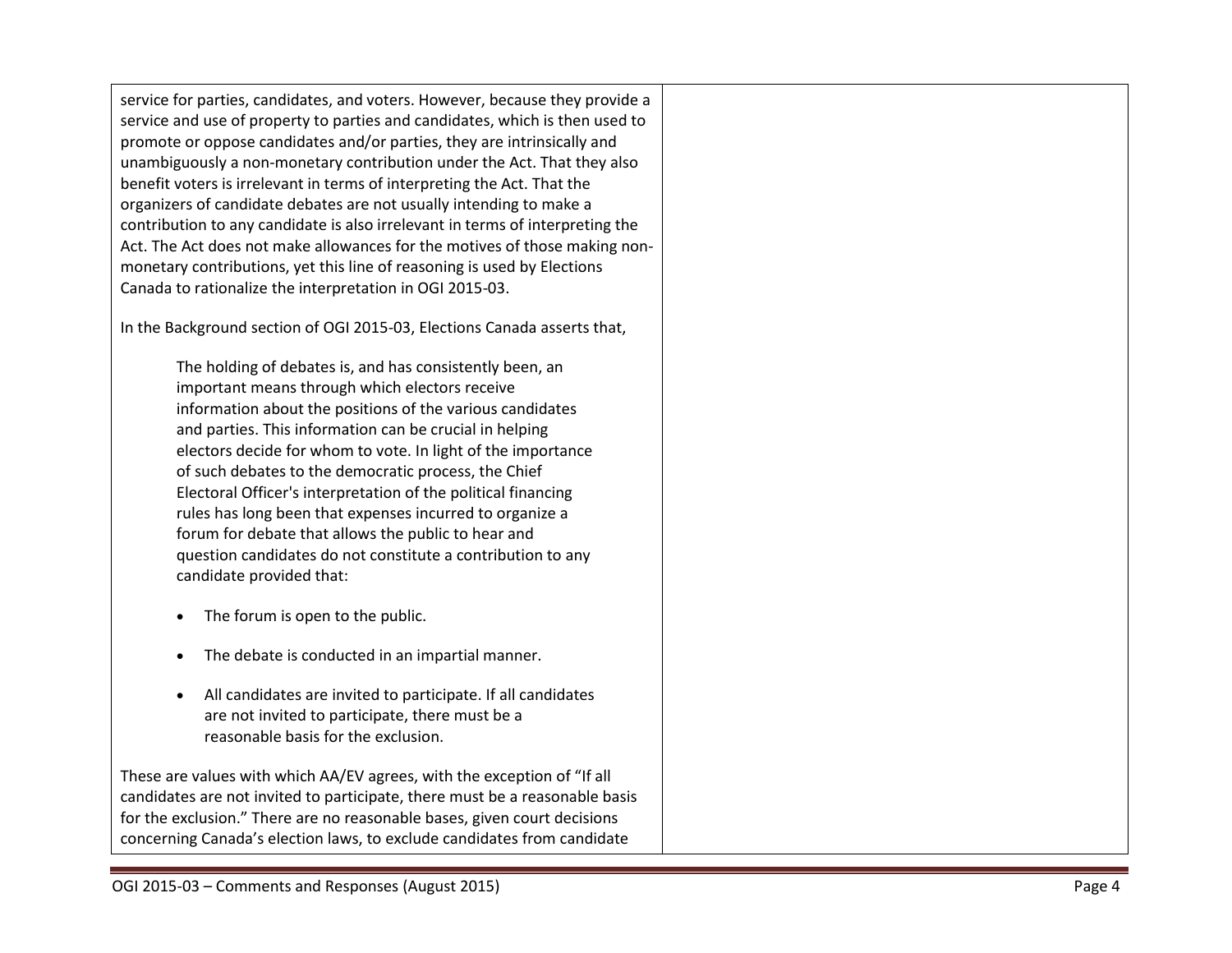service for parties, candidates, and voters. However, because they provide a service and use of property to parties and candidates , which is then used to promote or oppose candidates and/or parties, they are intrinsically and unambiguously a non -monetary contribution under the Act. That they also benefit voters is irrelevant in terms of interpreting the Act. That the organizers of candidate debates are not usually intending to make a contribution to any candidate is also irrelevant in terms of interpreting the Act. The Act does not make allowances for the motives of those making non monetary contributions, yet this line of reasoning is used by Elections Canada to rationalize the interpretation in OGI 2015 -03.

In the Background section of OGI 20 1 5 -03, Election s Canada asserts that,

The holding of debates is, and has consistently been, an important means through which electors receive information about the positions of the various candidates and parties. This information can be crucial in helping electors decide for whom to vote. In light of the importance of such debates to the democratic process, the Chief Electoral Officer's interpretation of the political financing rules has long been that expenses incurred to organize a forum for debate that allows the public to hear and question candidates do not constitute a contribution to any candidate provided that:

- The forum is open to the public.
- The debate is conducted in an impartial manner.
- All candidates are invited to participate. If all candidates are not invited to participate, there must be a reasonable basis for the exclusion.

These are values with which AA/EV agrees, with the exception of "If all candidates are not invited to participate, there must be a reasonable basis for the exclusion." There are no reasonable bases, given court decisions concerning Canada's election laws, to exclude candidates from candidate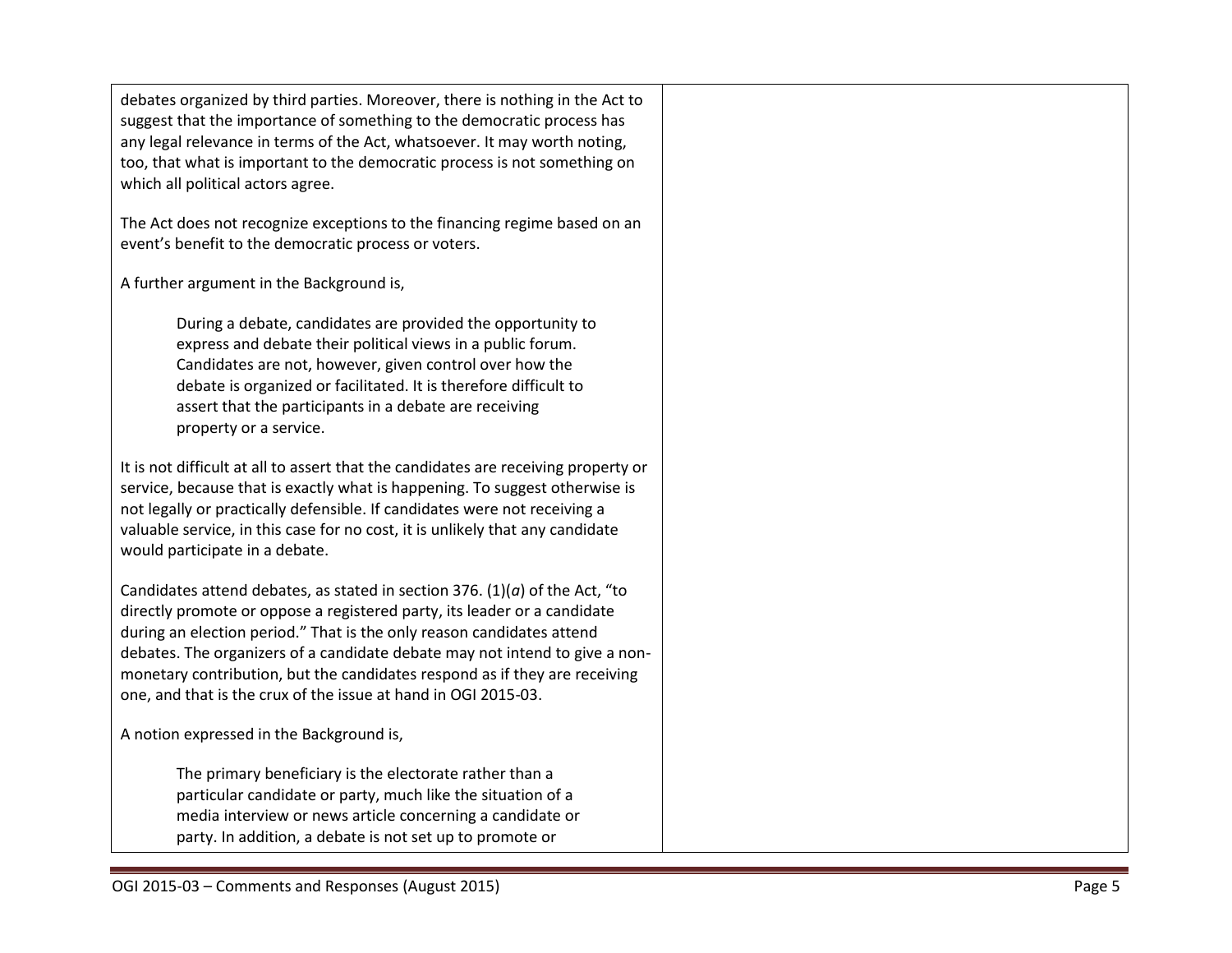debates organized by third parties. Moreover, there is nothing in the Act to suggest that the importance of something to the democratic process has any legal relevance in terms of the Act, whatsoever. It may worth noting, too, that what is important to the democratic process is not something on which all political actors agree.

The Act does not recognize exceptions to the financing regime based on an event's benefit to the democratic process or voters.

A further argument in the Background is,

During a debate, candidates are provided the opportunity to express and debate their political views in a public forum. Candidates are not, however, given control over how the debate is organized or facilitated. It is therefore difficult to assert that the participants in a debate are receiving property or a service.

It is not difficult at all to assert that the candidates are receiving property or service, because that is exactly what is happening. To suggest otherwise is not legally or practically defensible. If candidates were not receiving a valuable service, in this case for no cost, it is unlikely that any candidate would participate in a debate.

Candidates attend debates, as stated in section 376. (1)(*a*) of the Act, "to directly promote or oppose a registered party, its leader or a candidate during an election period." That is the only reason candidates attend debates. The organizers of a candidate debate may not intend to give a nonmonetary contribution, but the candidates respond as if they are receiving one, and that is the crux of the issue at hand in OGI 2015-03.

A notion expressed in the Background is,

The primary beneficiary is the electorate rather than a particular candidate or party, much like the situation of a media interview or news article concerning a candidate or party. In addition, a debate is not set up to promote or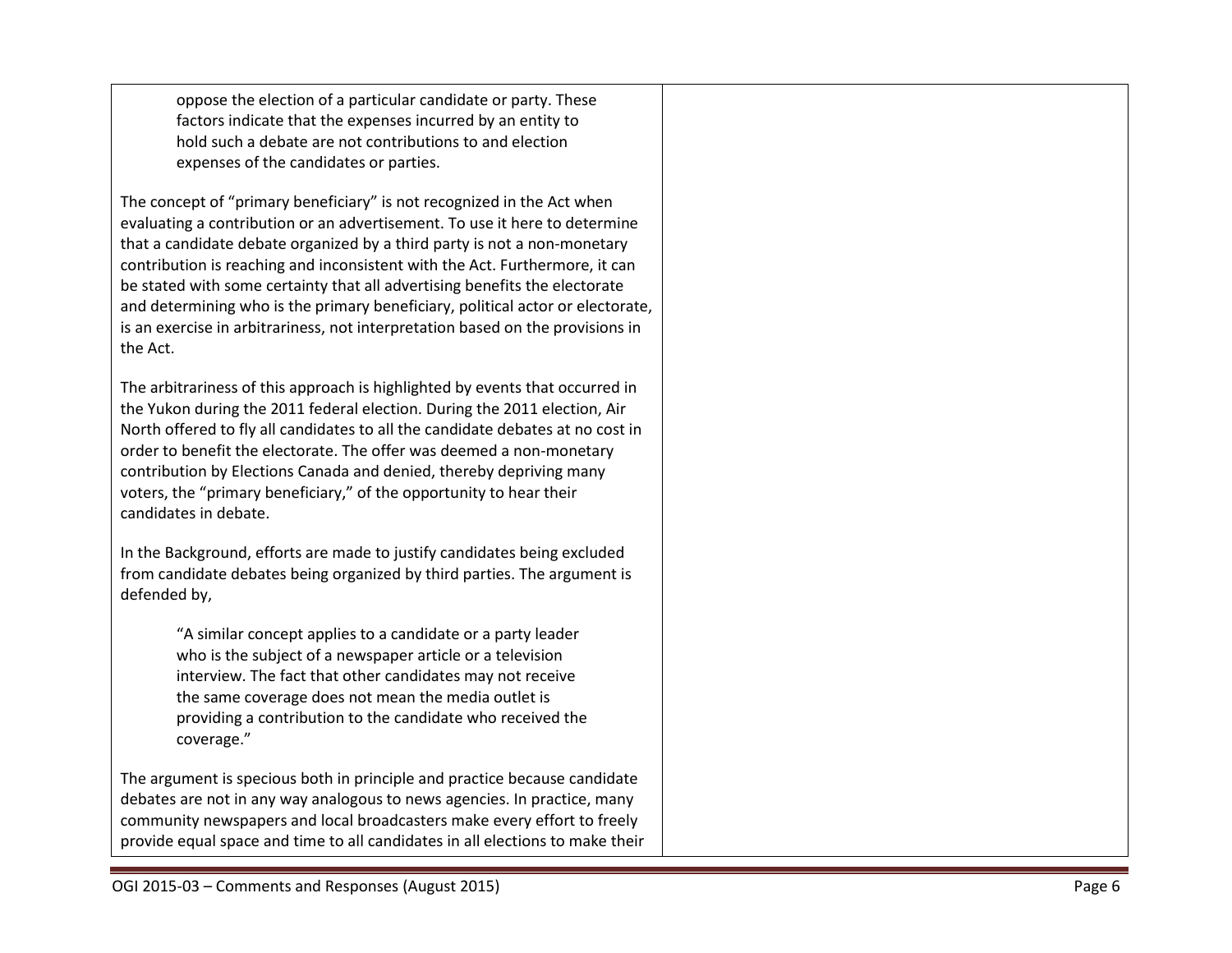oppose the election of a particular candidate or party. These factors indicate that the expenses incurred by an entity to hold such a debate are not contributions to and election expenses of the candidates or parties.

The concept of "primary beneficiary" is not recognized in the Act when evaluating a contribution or an advertisement. To use it here to determine that a candidate debate organized by a third party is not a non -monetary contribution is reaching and inconsistent with the Act. Furthermore, it can be stated with some certainty that all advertising benefits the electorate and determining who is the primary beneficiary, political actor or electorate, is an exercise in arbitrariness, not interpretation based on the provisions in the Act.

The arbitrariness of this approach is highlighted by events that occurred in the Yukon during the 2011 federal election. During the 2011 election, Air North offered to fly all candidates to all the candidate debates at no cost in order to benefit the electorate. The offer was deemed a non -monetary contribution by Elections Canada and denied, thereby depriving many voters, the "primary beneficiary," of the opportunity to hear their candidates in debate.

In the Background, efforts are made to justify candidates being excluded from candidate debates being organized by third parties. The argument is defended by,

> "A similar concept applies to a candidate or a party leader who is the subject of a newspaper article or a television interview. The fact that other candidates may not receive the same coverage does not mean the media outlet is providing a contribution to the candidate who received the coverage."

The argument is specious both in principle and practice because candidate debates are not in any way analogous to news agencies. In practice, many community newspapers and local broadcasters make every effort to freely provide equal space and time to all candidates in all elections to make their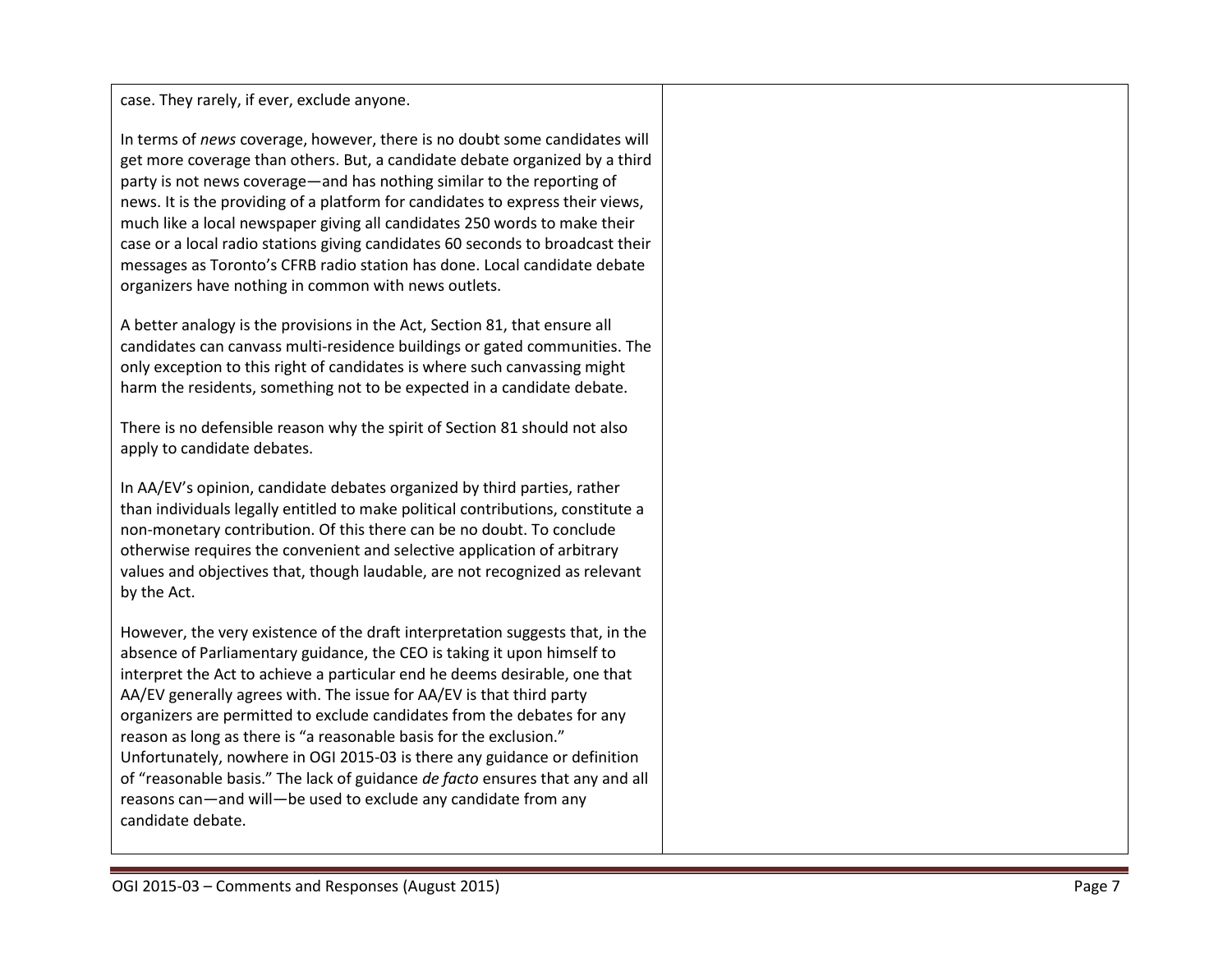case. They rarely, if ever, exclude anyone.

In terms of *news* coverage, however, there is no doubt some candidates will get more coverage than others. But, a candidate debate organized by a third party is not news coverage —and has nothing similar to the reporting of news. It is the providing of a platform for candidates to express their views, much like a local newspaper giving all candidates 250 words to make their case or a local radio stations giving candidates 60 seconds to broadcast their messages as Toronto's CFRB radio station has done. Local candidate debate organizers have nothing in common with news outlets.

A better analogy is the provisions in the Act, Section 81, that ensure all candidates can canvass multi-residence buildings or gated communities. The only exception to this right of candidates is where such canvassing might harm the residents, something not to be expected in a candidate debate.

There is no defensible reason why the spirit of Section 81 should not also apply to candidate debates.

In AA/EV's opinion, candidate debates organized by third parties, rather than individuals legally entitled to make political contributions, constitute a non -monetary contribution. Of this there can be no doubt. To conclude otherwise requires the convenient and selective application of arbitrary values and objectives that, though laudable, are not recognized as relevant by the Act.

However, the very existence of the draft interpretation suggests that, in the absence of Parliamentary guidance, the CEO is taking it upon himself to interpret the Act to achieve a particular end he deems desirable, one that AA/EV generally agrees with. The issue for AA/EV is that third party organizers are permitted to exclude candidates from the debates for any reason as long as there is "a reasonable basis for the exclusion." Unfortunately, nowhere in OGI 2015 -03 is there any guidance or definition of "reasonable basis." The lack of guidance *de facto* ensures tha t any and all reasons can —and will —be used to exclude any candidate from any candidate debate.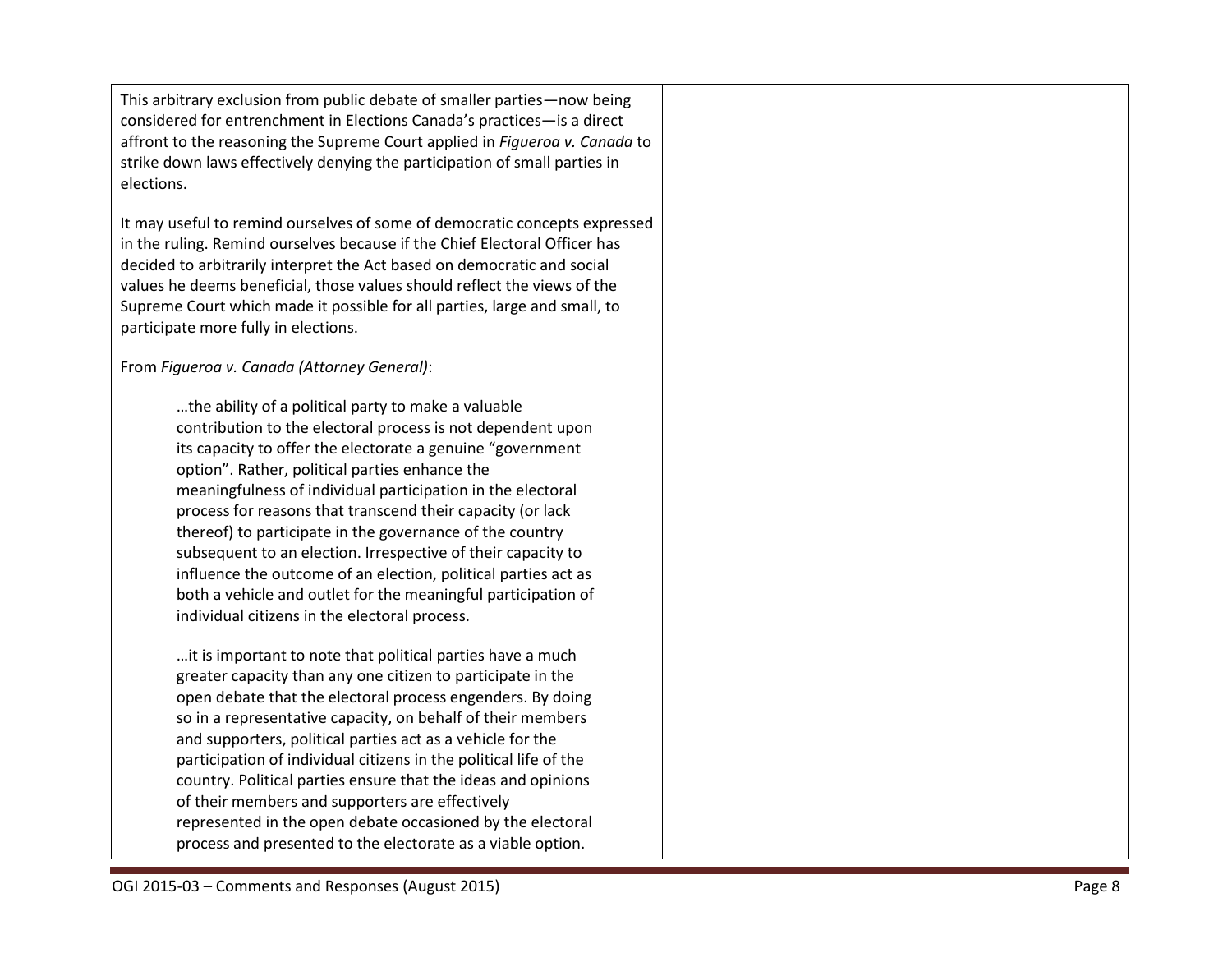This arbitrary exclusion from public debate of smaller parties —now being considered for entrenchment in Election s Canada's practices —is a direct affront to the reasoning the Supreme Court applied in *Figueroa v. Canada* to strike down laws effectively denying the participation of small parties in elections.

It may useful to remind ourselves of some of democratic concepts expressed in the ruling. Remind ourselves because if the Chief Electoral Officer has decided to arbitrarily interpret the Act based on democratic and social values he deems beneficial, those values should reflect the views of the Supreme Court which made it possible for all parties, large and small, to participate more fully in elections.

From *Figueroa v. Canada (Attorney General)* :

…the ability of a political party to make a valuable contribution to the electoral process is not dependent upon its capacity to offer the electorate a genuine "government option". Rather, political parties enhance the meaningfulness of individual participation in the electoral process for reasons that transcend their capacity (or lack thereof) to participate in the governance of the country subsequent to an election. Irrespective of their capacity to influence the outcome of an election, political parties act as both a vehicle and outlet for the meaningful participation of individual citizens in the electoral process.

…it is important to note that political parties have a much greater capacity than any one citizen to participate in the open debate that the electoral process engenders. By doing so in a representative capacity, on behalf of their members and supporters, political parties act as a vehicle for the participation of individual citizens in the political life of the country. Political parties ensure that the ideas and opinions of their members and supporters are effectively represented in the open debate occasioned by the electoral process and presented to the electorate as a viable option.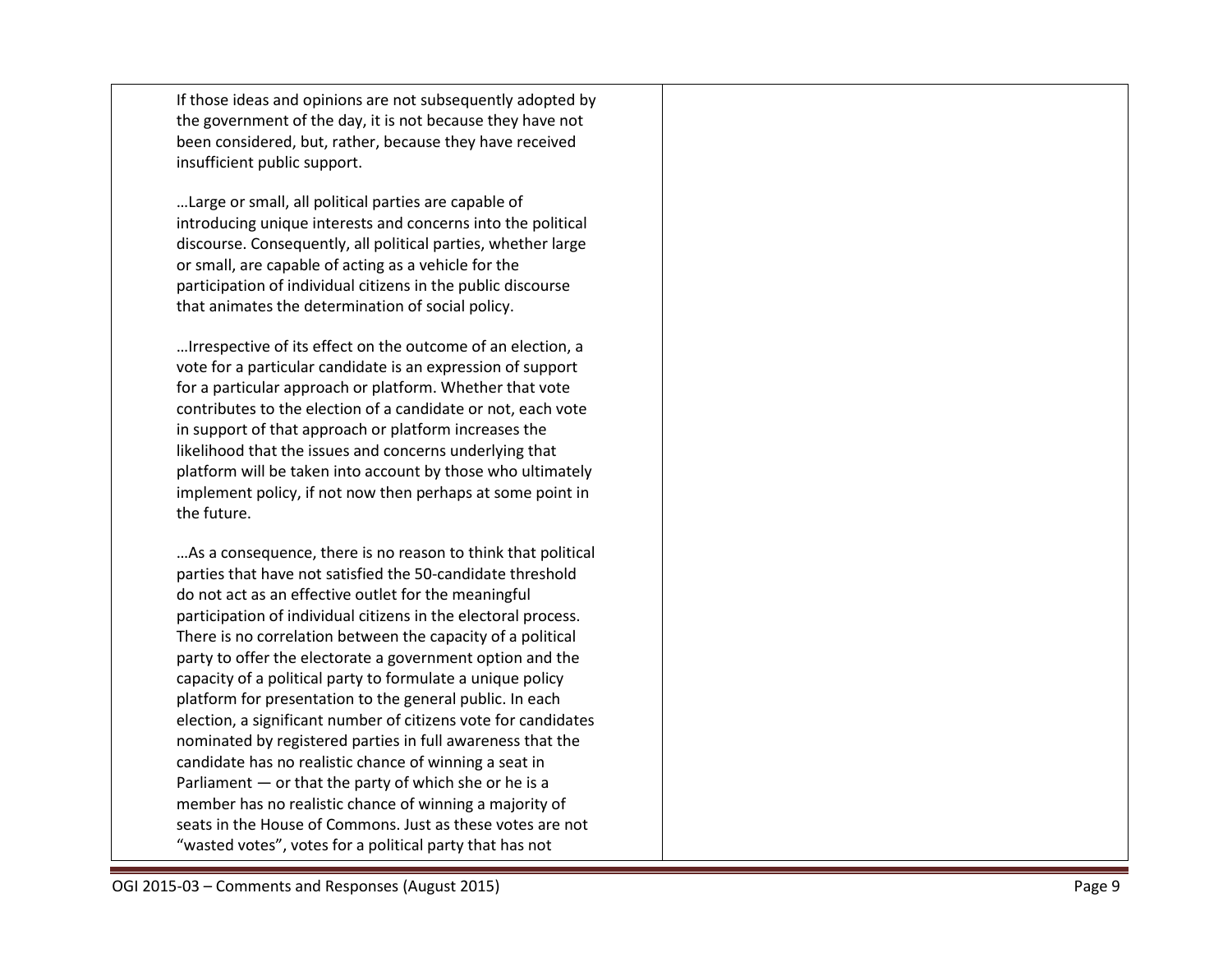If those ideas and opinions are not subsequently adopted by the government of the day, it is not because they have not been considered, but, rather, because they have received insufficient public support.

…Large or small, all political parties are capable of introducing unique interests and concerns into the political discourse. Consequently, all political parties, whether large or small, are capable of acting as a vehicle for the participation of individual citizens in the public discourse that animates the determination of social policy.

…Irrespective of its effect on the outcome of an election, a vote for a particular candidate is an expression of support for a particular approach or platform. Whether that vote contributes to the election of a candidate or not, each vote in support of that approach or platform increases the likelihood that the issues and concerns underlying that platform will be taken into account by those who ultimately implement policy, if not now then perhaps at some point in the future.

…As a consequence, there is no reason to think that political parties that have not satisfied the 50 -candidate threshold do not act as an effective outlet for the meaningful participation of individual citizens in the electoral process. There is no correlation between the capacity of a political party to offer the electorate a government option and the capacity of a political party to formulate a unique policy platform for presentation to the general public. In each election, a significant number of citizens vote for candidates nominated by registered parties in full awareness that the candidate has no realistic chance of winning a seat in Parliament — or that the party of which she or he is a member has no realistic chance of winning a majority of seats in the House of Commons. Just as these votes are not "wasted votes", votes for a political party that has not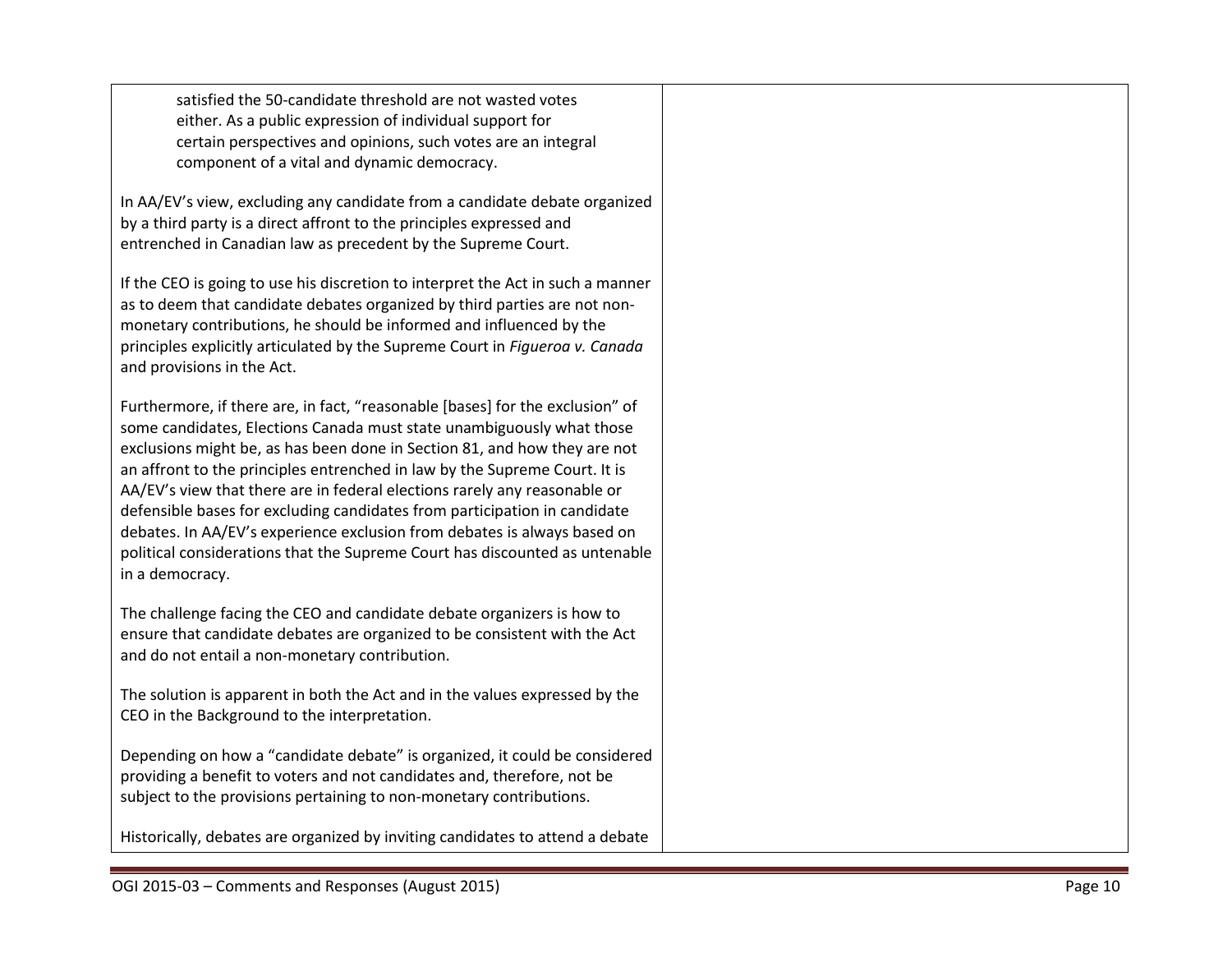satisfied the 50-candidate threshold are not wasted votes either. As a public expression of individual support for certain perspectives and opinions, such votes are an integral component of a vital and dynamic democracy.

In AA/EV's view, excluding any candidate from a candidate debate organized by a third party is a direct affront to the principles expressed and entrenched in Canadian law as precedent by the Supreme Court.

If the CEO is going to use his discretion to interpret the Act in such a manner as to deem that candidate debates organized by third parties are not nonmonetary contributions, he should be informed and influenced by the principles explicitly articulated by the Supreme Court in *Figueroa v. Canada* and provisions in the Act.

Furthermore, if there are, in fact, "reasonable [bases] for the exclusion" of some candidates, Elections Canada must state unambiguously what those exclusions might be, as has been done in Section 81, and how they are not an affront to the principles entrenched in law by the Supreme Court. It is AA/EV's view that there are in federal elections rarely any reasonable or defensible bases for excluding candidates from participation in candidate debates. In AA/EV's experience exclusion from debates is always based on political considerations that the Supreme Court has discounted as untenable in a democracy.

The challenge facing the CEO and candidate debate organizers is how to ensure that candidate debates are organized to be consistent with the Act and do not entail a non-monetary contribution.

The solution is apparent in both the Act and in the values expressed by the CEO in the Background to the interpretation.

Depending on how a "candidate debate" is organized, it could be considered providing a benefit to voters and not candidates and, therefore, not be subject to the provisions pertaining to non-monetary contributions.

Historically, debates are organized by inviting candidates to attend a debate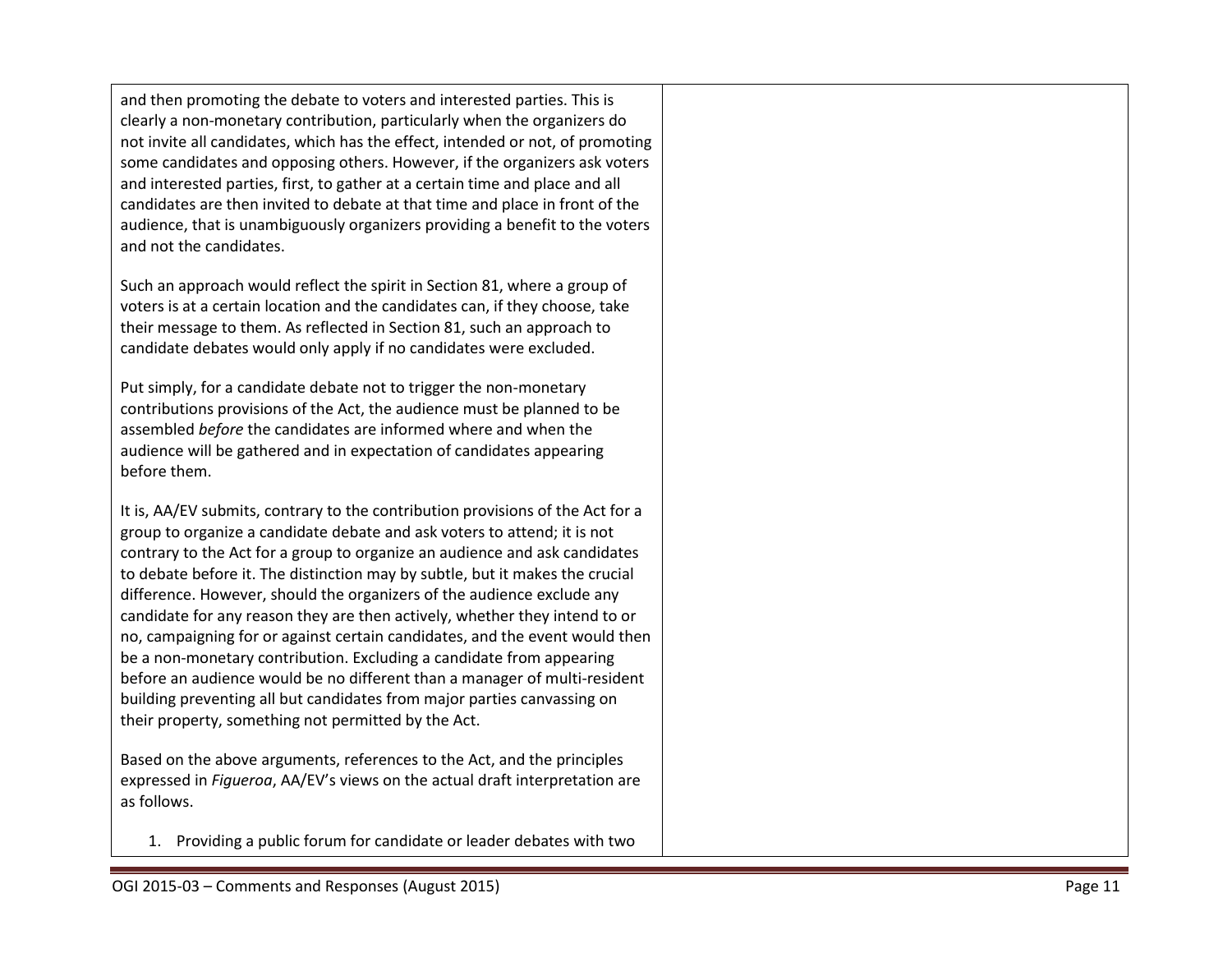and then promoting the debate to voters and interested parties. This is clearly a non -monetary contribution, particularly when the organizers do not invite all candidates , which has the effect, intended or not, of promoting some candidates and opposing others. However, if the organizers ask voters and interested parties, first, to gather at a certain time and place and all candidates are then invited to debate at that time and place in front of the audience , that is unambiguously organizers providing a benefit to the voters and not the candidates.

Such an approach would reflect the spirit in Section 81, where a group of voters is at a certain location and the candidates can, if they choose, take their message to them. As reflected in Section 81, such an approach to candidate debates would only apply if no candidates were excluded.

Put simply, for a candidate debate not to trigger the non -monetary contributions provisions of the Act, the audience must be planned to be assembled *before* the candidates are informed where and when the audience will be gathered and in expectation of candidates appearing before them.

It is, AA/EV submits, contrary to the contribution provisions of the Act for a group to organize a candidate debate and ask voters to attend; it is not contrary to the Act for a group to organize an audience and ask candidates to debate before it. The distinction may by subtle, but it makes the crucial difference. However, should the organizers of the audience exclude any candidate for any reason they are then actively, whether they intend to or no, campaigning for or against certain candidates, and the event would then be a non -monetary contribution. Excluding a candidate from appearing before an audience would be no different than a manager of multi -resident building preventing all but candidates from major parties canvassing on their property, something not permitted by the Act.

Based on the above arguments, references to the Act, and the principles expressed in *Figueroa*, AA/EV's views on the actual draft interpretation are as follows.

1. Providing a public forum for candidate or leader debates with two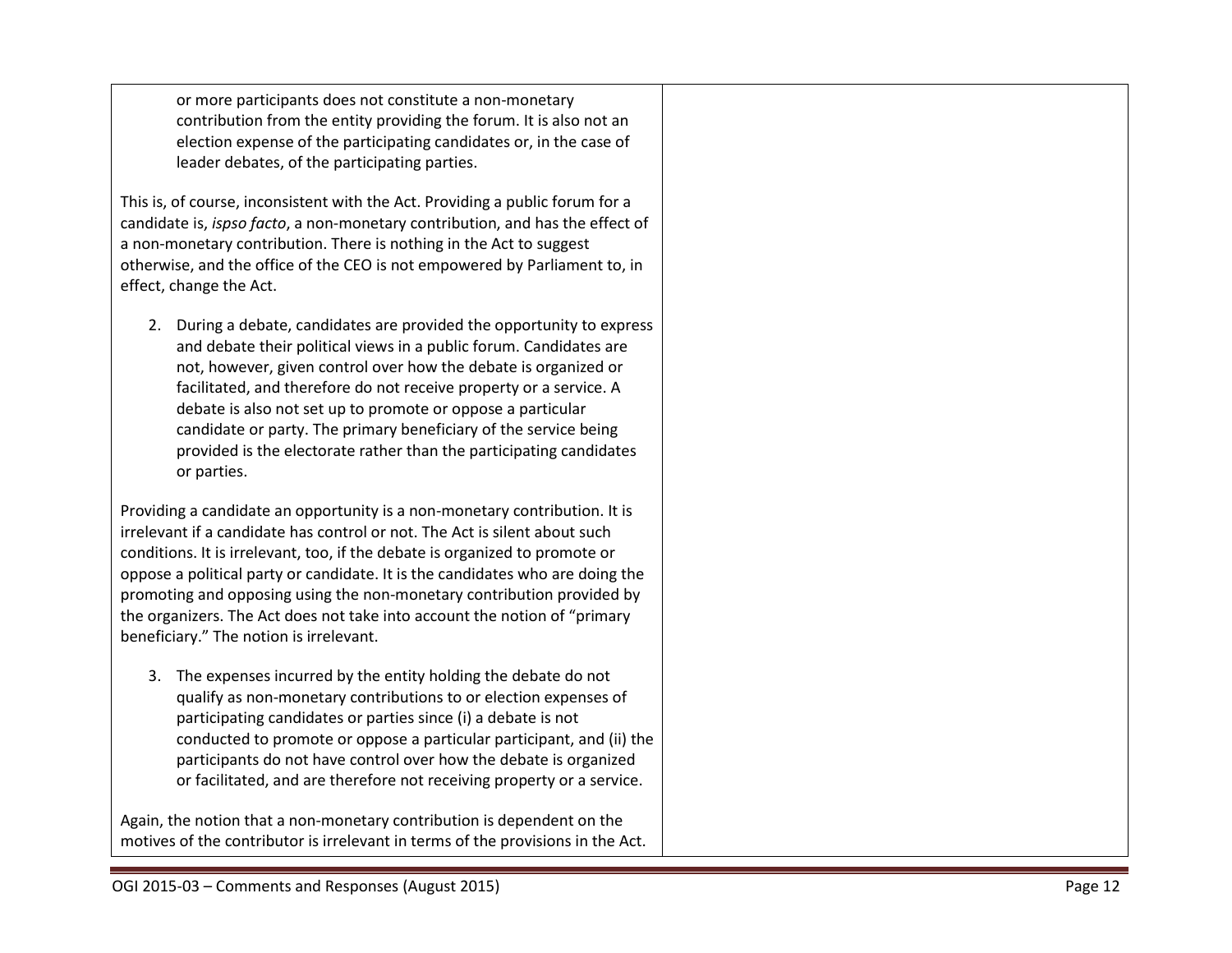or more participants does not constitute a non -monetary contribution from the entity providing the forum. It is also not an election expense of the participating candidates or, in the case of leader debates, of the participating parties.

This is, of course, inconsistent with the Act. Providing a public forum for a candidate is, *ispso facto*, a non -monetary contribution, and has the effect of a non -monetary contribution. There is nothing in the Act to suggest otherwise, and the office of the CEO is not empowered by Parliament to, in effect, change the Act.

2. During a debate, candidates are provided the opportunity to express and debate their political views in a public forum. Candidates are not, however, given control over how the debate is organized or facilitated, and therefore do not receive property or a service. A debate is also not set up to promote or oppose a particular candidate or party. The primary beneficiary of the service being provided is the electorate rather than the participating candidates or parties.

Providing a candidate an opportunity is a non -monetary contribution. It is irrelevant if a candidate has control or not. The Act is silent about such conditions. It is irrelevant, too, if the debate is organized to promote or oppose a political party or candidate. It is the candidates who are doing the promoting and opposing using the non -monetary contribution provided by the organizers. The Act does not take into account the notion of "primary beneficiary." The notion is irrelevant.

3. The expenses incurred by the entity holding the debate do not qualify as non -monetary contributions to or election expenses of participating candidates or parties since (i) a debate is not conducted to promote or oppose a particular participant, and (ii) the participants do not have control over how the debate is organized or facilitated, and are therefore not receiving property or a service.

Again, the notion that a non -monetary contribution is dependent on the motives of the contributor is irrelevant in terms of the provisions in the Act.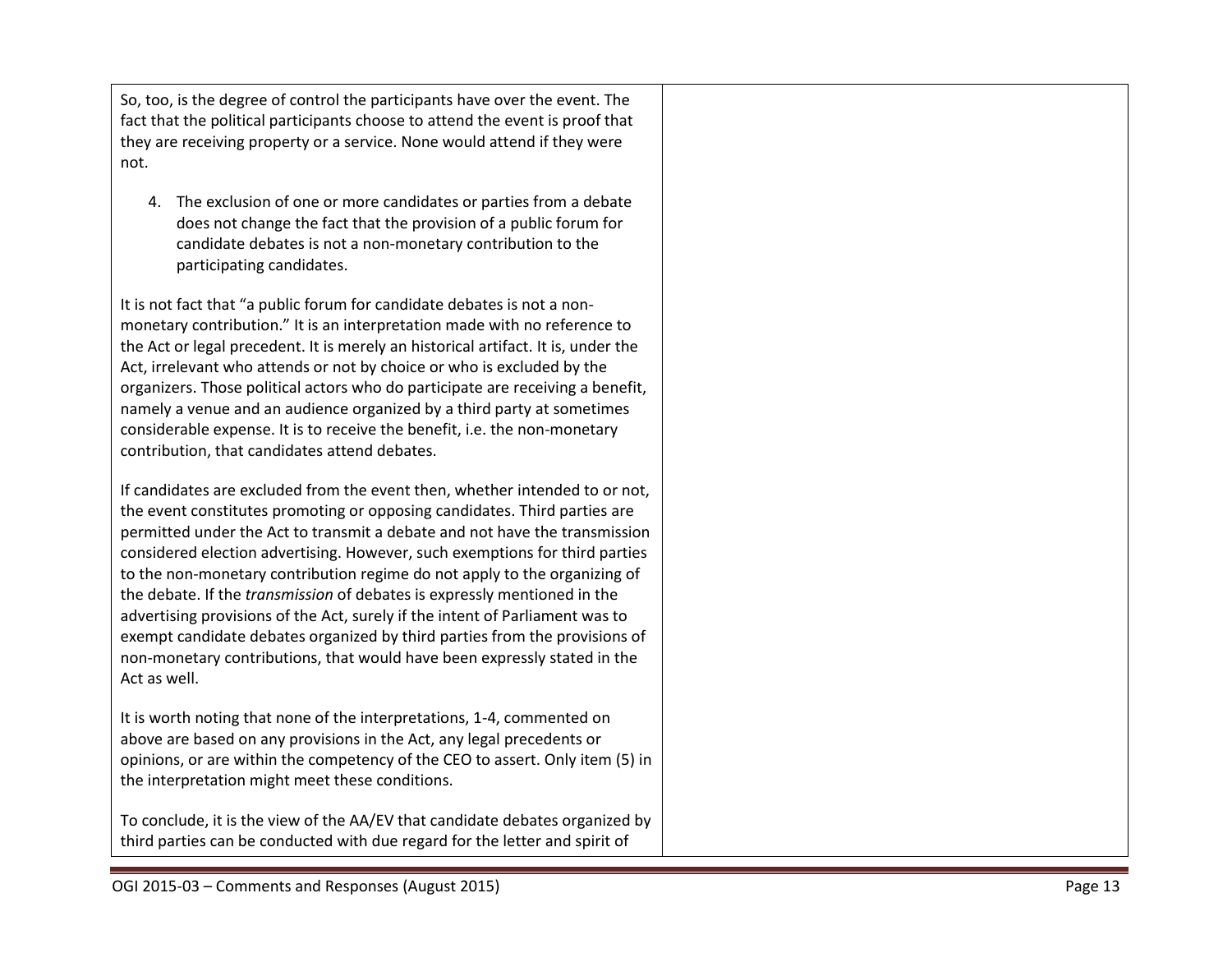So, too, is the degree of control the participants have over the event. The fact that the political participants choose to attend the event is proof that they are receiving property or a service. None would attend if they were not.

4. The exclusion of one or more candidates or parties from a debate does not change the fact that the provision of a public forum for candidate debates is not a non -monetary contribution to the participating candidates.

It is not fact that "a public forum for candidate debates is not a non monetary contribution." It is an interpretation made with no reference to the Act or legal precedent. It is merely an historical artifact. It is, under the Act, irrelevant who attends or not by choice or who is excluded by the organizers. Those political actors who do participate are receiving a benefit, namely a venue and an audience organized by a third party at sometimes considerable expense. It is to receive the benefit, i.e. the non -monetary contribution, that candidates attend debates.

If candidates are excluded from the event then, whether intended to or not, the event constitutes promoting or opposing candidates. Third parties are permitted under the Act to transmit a debate and not have the transmission considered election advertising. However, such exemptions for third parties to the non - monetary contribution regime do not apply to the organizing of the debate. If the *transmission* of debates is expressly mentioned in the advertising provisions of the Act, surely if the intent of Parliament was to exempt candidate debates organized by third parties from the provisions of non -monetary contributions , that would have been expressly stated in the Act as well.

It is worth noting that none of the interpretations, 1 -4, commented on above are based on any provisions in the Act, any legal precedents or opinions, or are within the competency of the CEO to assert. Only item (5) in the interpretation might meet these conditions.

To conclude, it is the view of the AA/EV that candidate debates organized by third parties can be conducted with due regard for the letter and spirit of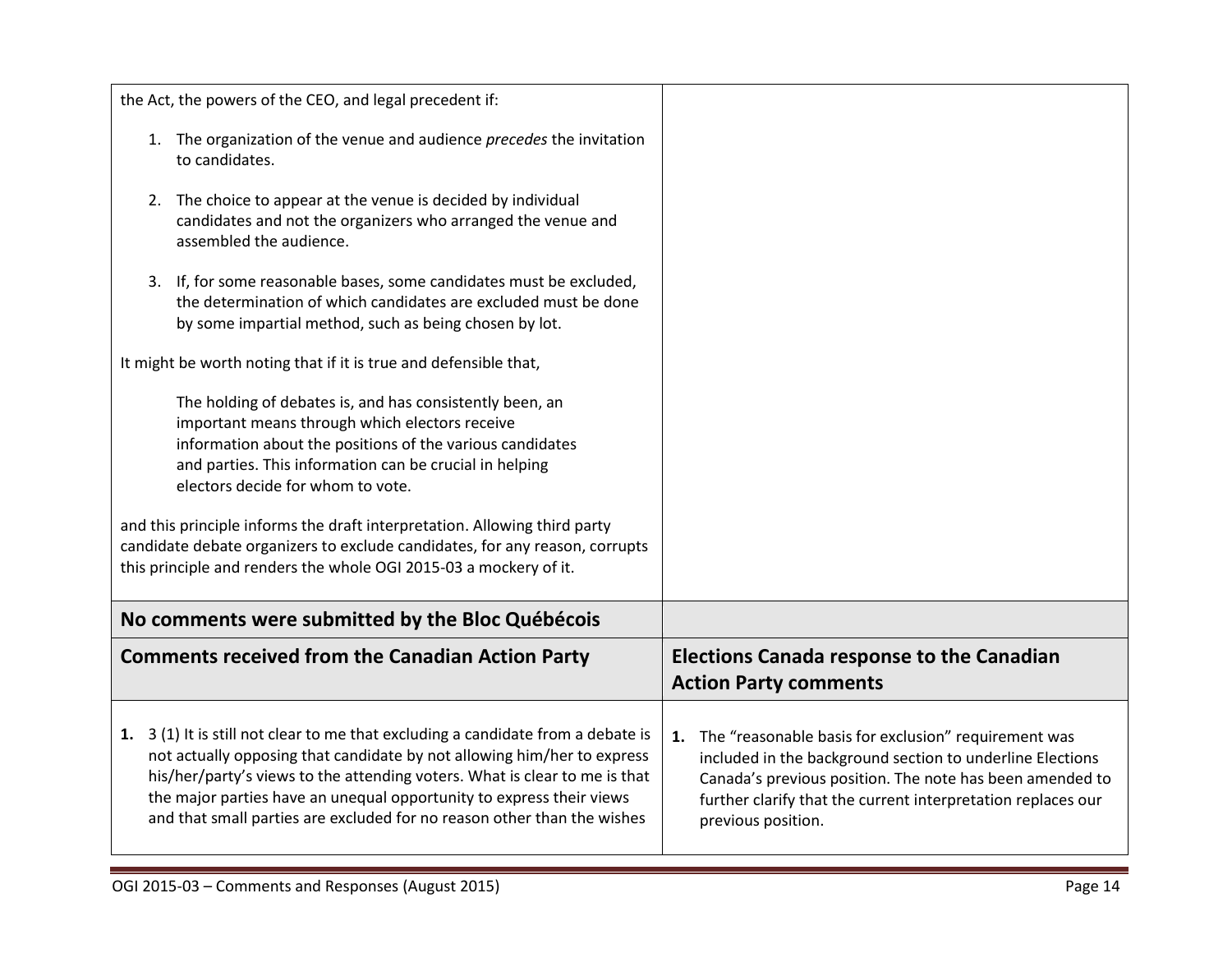| the Act, the powers of the CEO, and legal precedent if:                                                                                                                                                                                                                                                                                                                                                                                                                                                  |                                                                                                                                                                                                                                                                        |
|----------------------------------------------------------------------------------------------------------------------------------------------------------------------------------------------------------------------------------------------------------------------------------------------------------------------------------------------------------------------------------------------------------------------------------------------------------------------------------------------------------|------------------------------------------------------------------------------------------------------------------------------------------------------------------------------------------------------------------------------------------------------------------------|
| 1. The organization of the venue and audience precedes the invitation<br>to candidates.                                                                                                                                                                                                                                                                                                                                                                                                                  |                                                                                                                                                                                                                                                                        |
| The choice to appear at the venue is decided by individual<br>2.<br>candidates and not the organizers who arranged the venue and<br>assembled the audience.                                                                                                                                                                                                                                                                                                                                              |                                                                                                                                                                                                                                                                        |
| 3. If, for some reasonable bases, some candidates must be excluded,<br>the determination of which candidates are excluded must be done<br>by some impartial method, such as being chosen by lot.                                                                                                                                                                                                                                                                                                         |                                                                                                                                                                                                                                                                        |
| It might be worth noting that if it is true and defensible that,                                                                                                                                                                                                                                                                                                                                                                                                                                         |                                                                                                                                                                                                                                                                        |
| The holding of debates is, and has consistently been, an<br>important means through which electors receive<br>information about the positions of the various candidates<br>and parties. This information can be crucial in helping<br>electors decide for whom to vote.<br>and this principle informs the draft interpretation. Allowing third party<br>candidate debate organizers to exclude candidates, for any reason, corrupts<br>this principle and renders the whole OGI 2015-03 a mockery of it. |                                                                                                                                                                                                                                                                        |
| No comments were submitted by the Bloc Québécois                                                                                                                                                                                                                                                                                                                                                                                                                                                         |                                                                                                                                                                                                                                                                        |
| <b>Comments received from the Canadian Action Party</b>                                                                                                                                                                                                                                                                                                                                                                                                                                                  | <b>Elections Canada response to the Canadian</b><br><b>Action Party comments</b>                                                                                                                                                                                       |
| 1. 3 (1) It is still not clear to me that excluding a candidate from a debate is<br>not actually opposing that candidate by not allowing him/her to express<br>his/her/party's views to the attending voters. What is clear to me is that<br>the major parties have an unequal opportunity to express their views<br>and that small parties are excluded for no reason other than the wishes                                                                                                             | 1. The "reasonable basis for exclusion" requirement was<br>included in the background section to underline Elections<br>Canada's previous position. The note has been amended to<br>further clarify that the current interpretation replaces our<br>previous position. |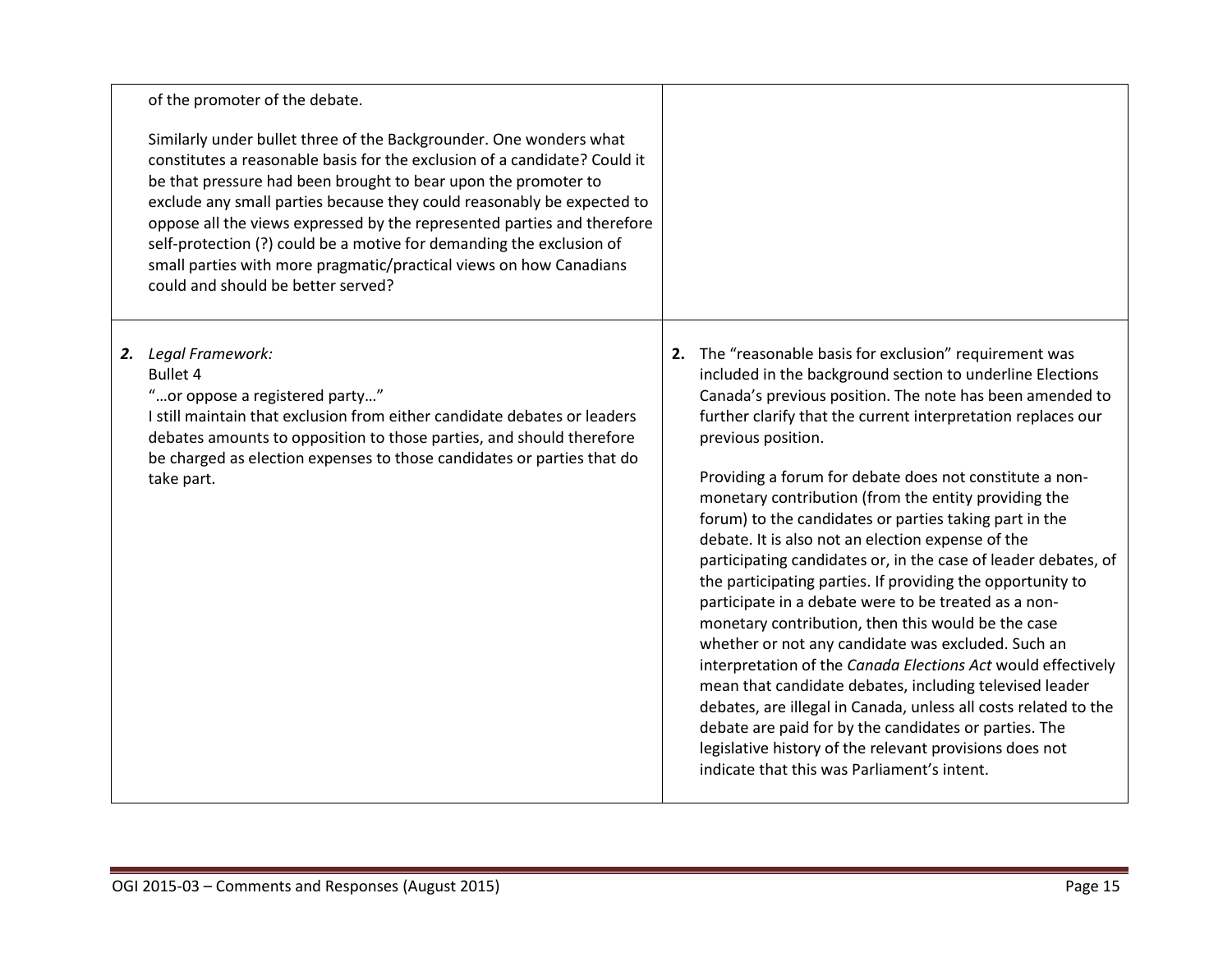| of the promoter of the debate.                                                                                                                                                                                                                                                                                                                                                                                                                                                                                                                             |                                                                                                                                                                                                                                                                                                                                                                                                                                                                                                                                                                                                                                                                                                                                                                                                                                                                                                                                                                                                                                                                                                                                                                               |
|------------------------------------------------------------------------------------------------------------------------------------------------------------------------------------------------------------------------------------------------------------------------------------------------------------------------------------------------------------------------------------------------------------------------------------------------------------------------------------------------------------------------------------------------------------|-------------------------------------------------------------------------------------------------------------------------------------------------------------------------------------------------------------------------------------------------------------------------------------------------------------------------------------------------------------------------------------------------------------------------------------------------------------------------------------------------------------------------------------------------------------------------------------------------------------------------------------------------------------------------------------------------------------------------------------------------------------------------------------------------------------------------------------------------------------------------------------------------------------------------------------------------------------------------------------------------------------------------------------------------------------------------------------------------------------------------------------------------------------------------------|
| Similarly under bullet three of the Backgrounder. One wonders what<br>constitutes a reasonable basis for the exclusion of a candidate? Could it<br>be that pressure had been brought to bear upon the promoter to<br>exclude any small parties because they could reasonably be expected to<br>oppose all the views expressed by the represented parties and therefore<br>self-protection (?) could be a motive for demanding the exclusion of<br>small parties with more pragmatic/practical views on how Canadians<br>could and should be better served? |                                                                                                                                                                                                                                                                                                                                                                                                                                                                                                                                                                                                                                                                                                                                                                                                                                                                                                                                                                                                                                                                                                                                                                               |
| 2. Legal Framework:<br><b>Bullet 4</b><br>"or oppose a registered party"<br>I still maintain that exclusion from either candidate debates or leaders<br>debates amounts to opposition to those parties, and should therefore<br>be charged as election expenses to those candidates or parties that do<br>take part.                                                                                                                                                                                                                                       | 2. The "reasonable basis for exclusion" requirement was<br>included in the background section to underline Elections<br>Canada's previous position. The note has been amended to<br>further clarify that the current interpretation replaces our<br>previous position.<br>Providing a forum for debate does not constitute a non-<br>monetary contribution (from the entity providing the<br>forum) to the candidates or parties taking part in the<br>debate. It is also not an election expense of the<br>participating candidates or, in the case of leader debates, of<br>the participating parties. If providing the opportunity to<br>participate in a debate were to be treated as a non-<br>monetary contribution, then this would be the case<br>whether or not any candidate was excluded. Such an<br>interpretation of the Canada Elections Act would effectively<br>mean that candidate debates, including televised leader<br>debates, are illegal in Canada, unless all costs related to the<br>debate are paid for by the candidates or parties. The<br>legislative history of the relevant provisions does not<br>indicate that this was Parliament's intent. |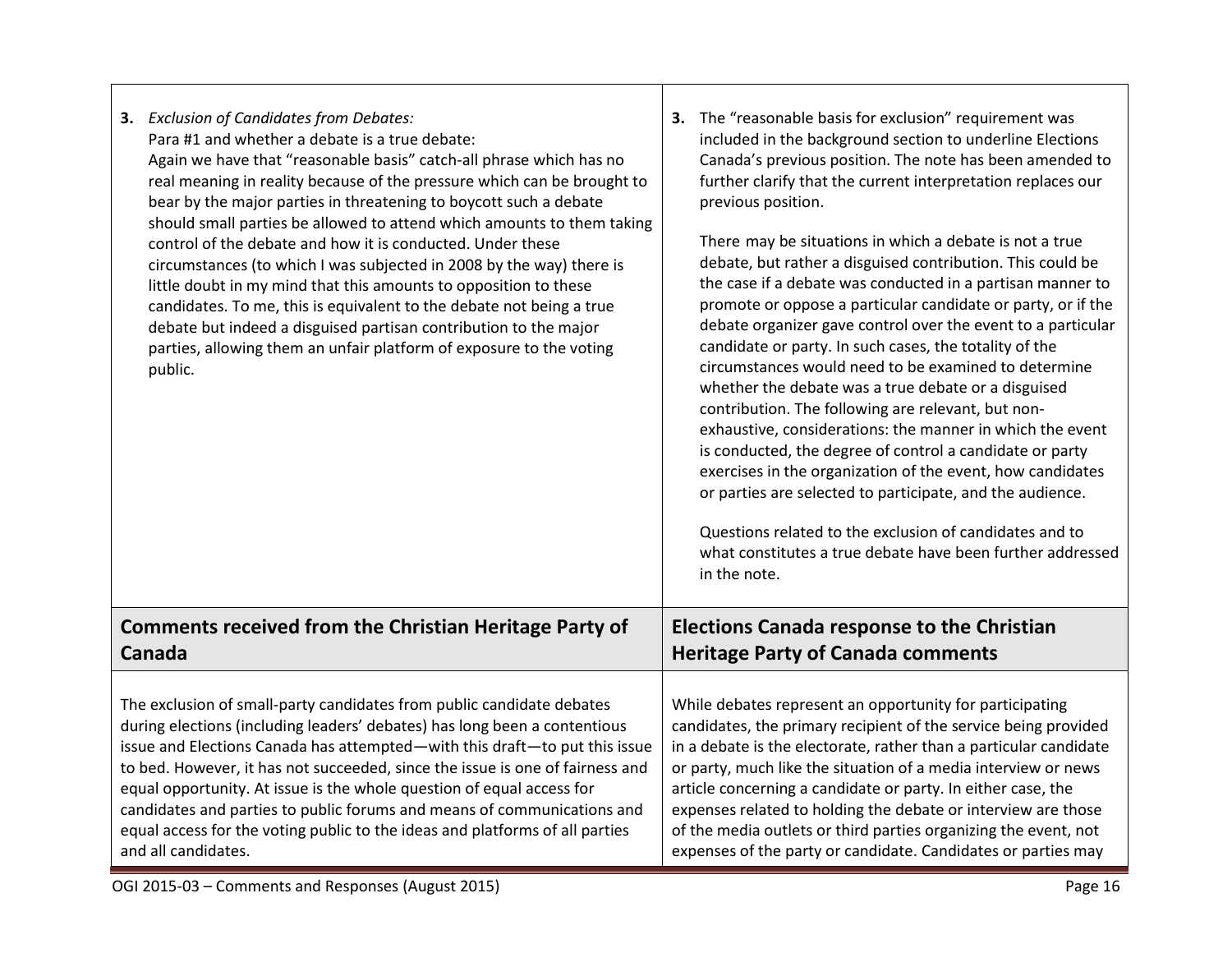| <b>Comments received from the Christian Heritage Party of</b><br><b>Elections Canada response to the Christian</b><br><b>Heritage Party of Canada comments</b><br>Canada | 3. Exclusion of Candidates from Debates:<br>Para #1 and whether a debate is a true debate:<br>Again we have that "reasonable basis" catch-all phrase which has no<br>real meaning in reality because of the pressure which can be brought to<br>bear by the major parties in threatening to boycott such a debate<br>should small parties be allowed to attend which amounts to them taking<br>control of the debate and how it is conducted. Under these<br>circumstances (to which I was subjected in 2008 by the way) there is<br>little doubt in my mind that this amounts to opposition to these<br>candidates. To me, this is equivalent to the debate not being a true<br>debate but indeed a disguised partisan contribution to the major<br>parties, allowing them an unfair platform of exposure to the voting<br>public. | 3. The "reasonable basis for exclusion" requirement was<br>included in the background section to underline Elections<br>Canada's previous position. The note has been amended to<br>further clarify that the current interpretation replaces our<br>previous position.<br>There may be situations in which a debate is not a true<br>debate, but rather a disguised contribution. This could be<br>the case if a debate was conducted in a partisan manner to<br>promote or oppose a particular candidate or party, or if the<br>debate organizer gave control over the event to a particular<br>candidate or party. In such cases, the totality of the<br>circumstances would need to be examined to determine<br>whether the debate was a true debate or a disguised<br>contribution. The following are relevant, but non-<br>exhaustive, considerations: the manner in which the event<br>is conducted, the degree of control a candidate or party<br>exercises in the organization of the event, how candidates<br>or parties are selected to participate, and the audience.<br>Questions related to the exclusion of candidates and to<br>what constitutes a true debate have been further addressed<br>in the note. |
|--------------------------------------------------------------------------------------------------------------------------------------------------------------------------|-------------------------------------------------------------------------------------------------------------------------------------------------------------------------------------------------------------------------------------------------------------------------------------------------------------------------------------------------------------------------------------------------------------------------------------------------------------------------------------------------------------------------------------------------------------------------------------------------------------------------------------------------------------------------------------------------------------------------------------------------------------------------------------------------------------------------------------|---------------------------------------------------------------------------------------------------------------------------------------------------------------------------------------------------------------------------------------------------------------------------------------------------------------------------------------------------------------------------------------------------------------------------------------------------------------------------------------------------------------------------------------------------------------------------------------------------------------------------------------------------------------------------------------------------------------------------------------------------------------------------------------------------------------------------------------------------------------------------------------------------------------------------------------------------------------------------------------------------------------------------------------------------------------------------------------------------------------------------------------------------------------------------------------------------------------------------|
|                                                                                                                                                                          |                                                                                                                                                                                                                                                                                                                                                                                                                                                                                                                                                                                                                                                                                                                                                                                                                                     |                                                                                                                                                                                                                                                                                                                                                                                                                                                                                                                                                                                                                                                                                                                                                                                                                                                                                                                                                                                                                                                                                                                                                                                                                           |
|                                                                                                                                                                          | The exclusion of small-party candidates from public candidate debates<br>during elections (including leaders' debates) has long been a contentious<br>issue and Elections Canada has attempted—with this draft—to put this issue<br>to bed. However, it has not succeeded, since the issue is one of fairness and<br>equal opportunity. At issue is the whole question of equal access for<br>candidates and parties to public forums and means of communications and<br>equal access for the voting public to the ideas and platforms of all parties<br>and all candidates.                                                                                                                                                                                                                                                        | While debates represent an opportunity for participating<br>candidates, the primary recipient of the service being provided<br>in a debate is the electorate, rather than a particular candidate<br>or party, much like the situation of a media interview or news<br>article concerning a candidate or party. In either case, the<br>expenses related to holding the debate or interview are those<br>of the media outlets or third parties organizing the event, not<br>expenses of the party or candidate. Candidates or parties may                                                                                                                                                                                                                                                                                                                                                                                                                                                                                                                                                                                                                                                                                   |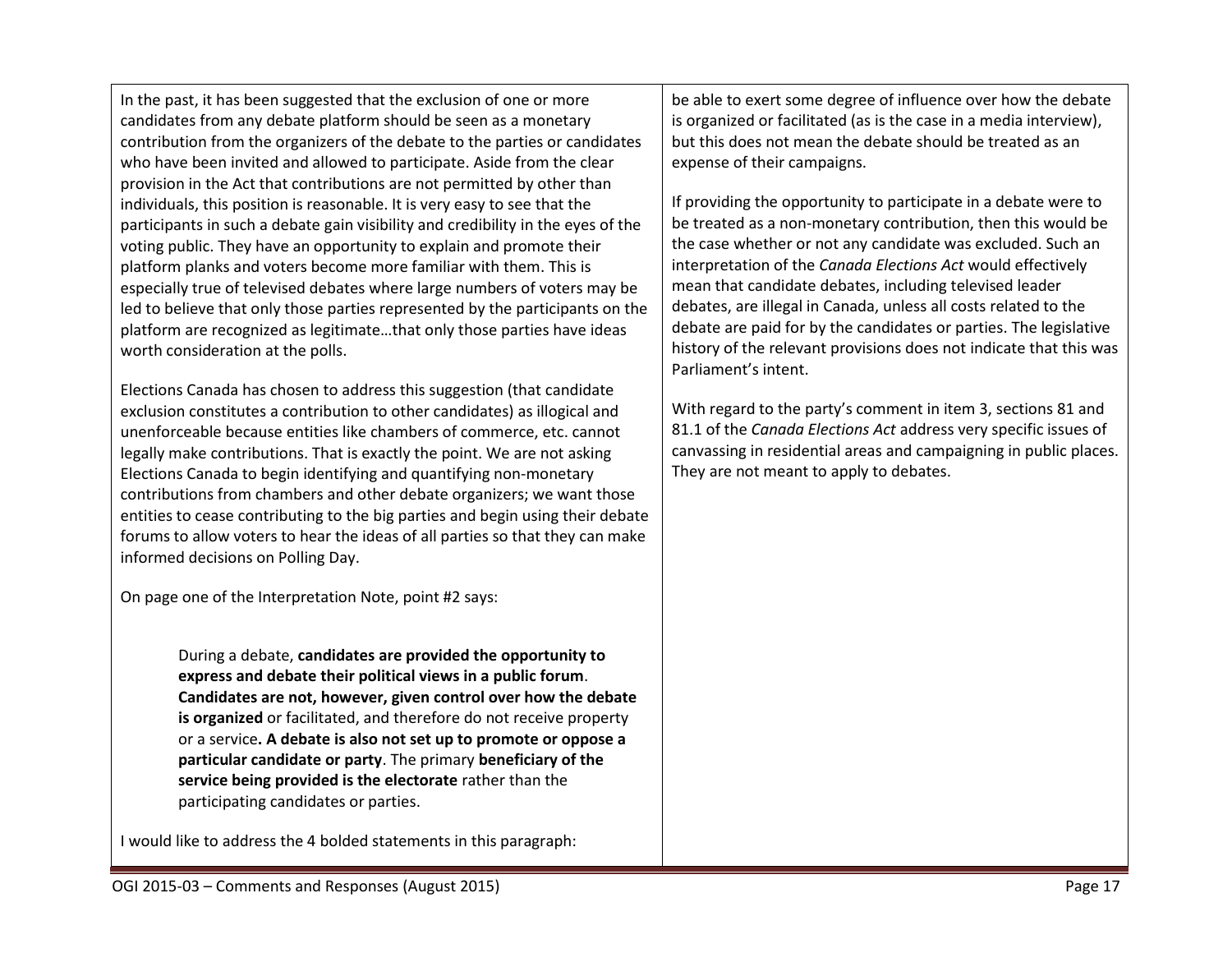In the past, it has been suggested that the exclusion of one or more candidates from any debate platform should be seen as a monetary contribution from the organizers of the debate to the parties or candidates who have been invited and allowed to participate. Aside from the clear provision in the Act that contributions are not permitted by other than individuals, this position is reasonable. It is very easy to see that the participants in such a debate gain visibility and credibility in the eyes of the voting public. They have an opportunity to explain and promote their platform planks and voters become more familiar with them. This is especially true of televised debates where large numbers of voters may be led to believe that only those parties represented by the participants on the platform are recognized as legitimate…that only those parties have ideas worth consideration at the polls.

Elections Canada has chosen to address this suggestion (that candidate exclusion constitutes a contribution to other candidates) as illogical and unenforceable because entities like chambers of commerce, etc. cannot legally make contributions. That is exactly the point. We are not asking Elections Canada to begin identifying and quantifying non-monetary contributions from chambers and other debate organizers; we want those entities to cease contributing to the big parties and begin using their debate forums to allow voters to hear the ideas of all parties so that they can make informed decisions on Polling Day.

On page one of the Interpretation Note, point #2 says:

During a debate, **candidates are provided the opportunity to express and debate their political views in a public forum**. **Candidates are not, however, given control over how the debate is organized** or facilitated, and therefore do not receive property or a service**. A debate is also not set up to promote or oppose a particular candidate or party**. The primary **beneficiary of the service being provided is the electorate** rather than the participating candidates or parties.

I would like to address the 4 bolded statements in this paragraph:

be able to exert some degree of influence over how the debate is organized or facilitated (as is the case in a media interview), but this does not mean the debate should be treated as an expense of their campaigns.

If providing the opportunity to participate in a debate were to be treated as a non-monetary contribution, then this would be the case whether or not any candidate was excluded. Such an interpretation of the *Canada Elections Act* would effectively mean that candidate debates, including televised leader debates, are illegal in Canada, unless all costs related to the debate are paid for by the candidates or parties. The legislative history of the relevant provisions does not indicate that this was Parliament's intent.

With regard to the party's comment in item 3, sections 81 and 81.1 of the *Canada Elections Act* address very specific issues of canvassing in residential areas and campaigning in public places. They are not meant to apply to debates.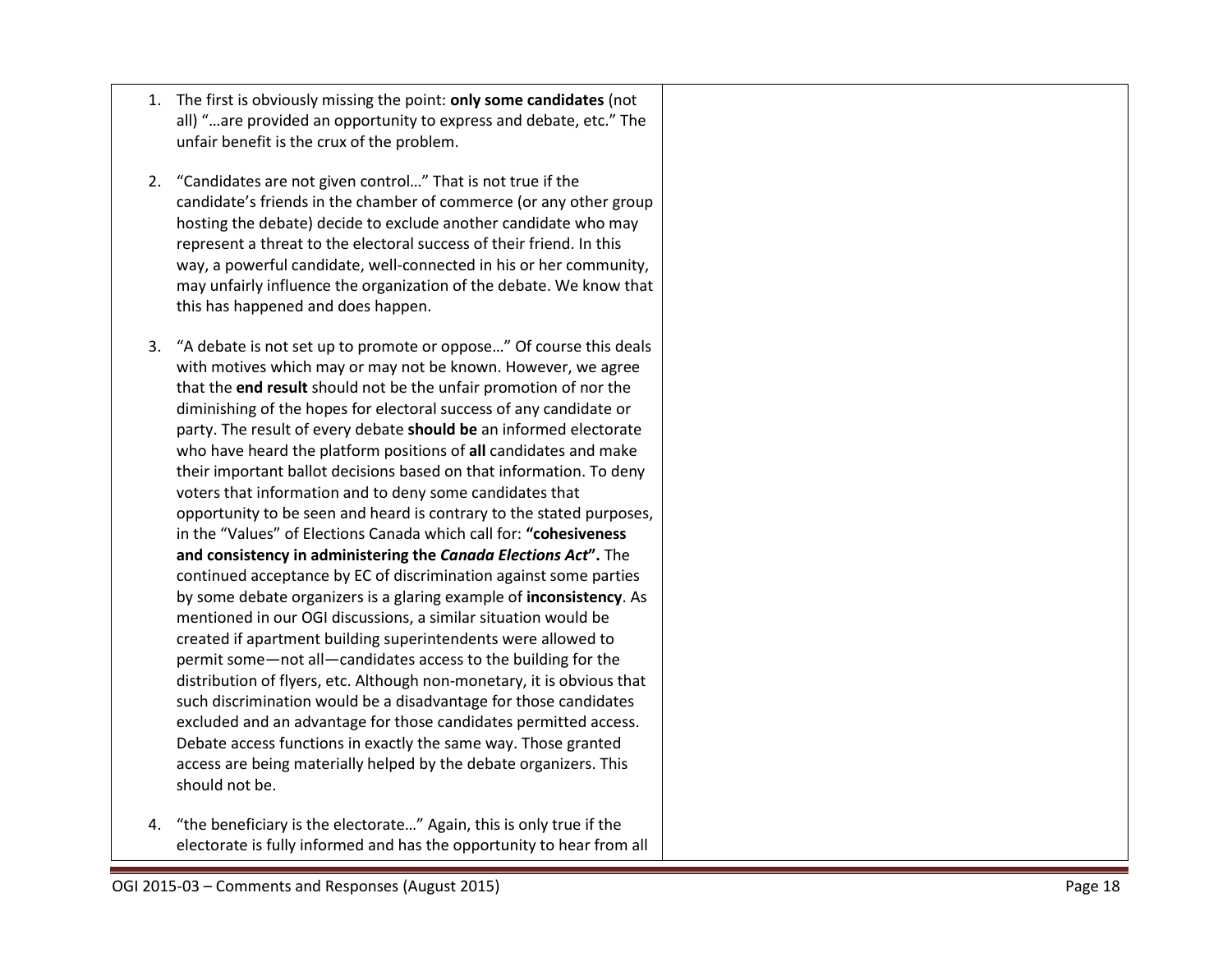- 1. The first is obviously missing the point: **only some candidates** (not all) "…are provided an opportunity to express and debate, etc." The unfair benefit is the crux of the problem.
- 2. "Candidates are not given control…" That is not true if the candidate's friends in the chamber of commerce (or any other group hosting the debate) decide to exclude another candidate who may represent a threat to the electoral success of their friend. In this way, a powerful candidate, well -connected in his or her community, may unfairly influence the organization of the debate. We know that this has happened and does happen.
- 3. "A debate is not set up to promote or oppose…" Of course this deals with motives which may or may not be known. However, we agree that the **end result** should not be the unfair promotion of nor the diminishing of the hopes for electoral success of any candidate or party. The result of every debate **should be** an informed electorate who have heard the platform positions of **all** candidates and make their important ballot decisions based on that information. To deny voters that information and to deny some candidates that opportunity to be seen and heard is contrary to the stated purposes, in the "Values" of Elections Canada which call for: **"cohesiveness and consistency in administering the** *Canada Elections Act***".** The continued acceptance by EC of discrimination against some parties by some debate organizers is a glaring example of **inconsistency**. As mentioned in our OGI discussions, a similar situation would be created if apartment building superintendents were allowed to permit some —not all —candidates access to the building for the distribution of flyers, etc. Although non -monetary, it is obvious that such discrimination would be a disadvantage for those candidates excluded and an advantage for those candidates permitted access. Debate access functions in exactly the same way. Those granted access are being materially helped by the debate organizers. This should not be.
- 4. "the beneficiary is the electorate…" Again, this is only true if the electorate is fully informed and has the opportunity to hear from all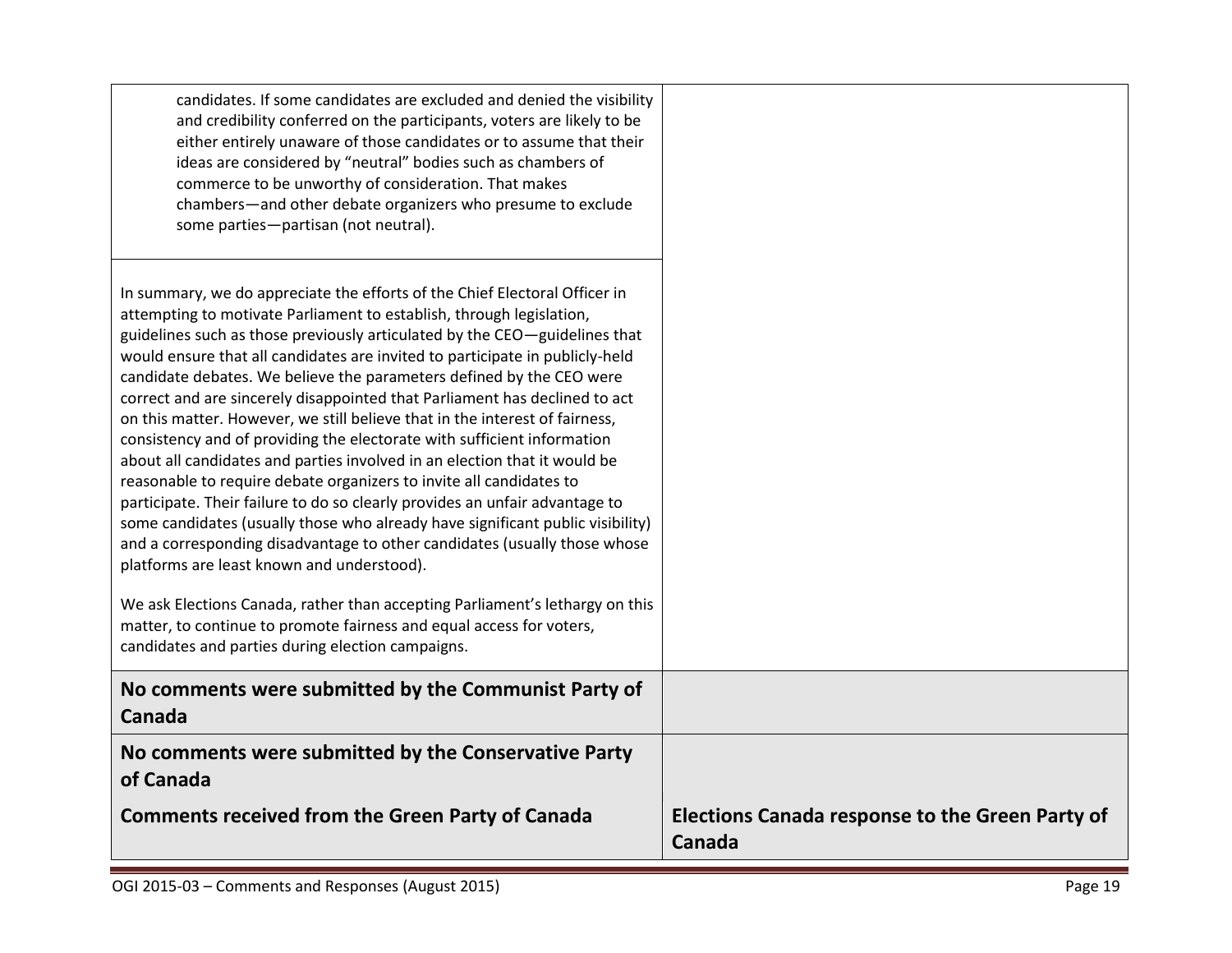| candidates. If some candidates are excluded and denied the visibility<br>and credibility conferred on the participants, voters are likely to be<br>either entirely unaware of those candidates or to assume that their<br>ideas are considered by "neutral" bodies such as chambers of<br>commerce to be unworthy of consideration. That makes<br>chambers-and other debate organizers who presume to exclude<br>some parties-partisan (not neutral).                                                                                                                                                                                                                                                                                                                                                                                                                                                                                                                                                                                                                                                                                                                                                                                                                                         |                                                                  |
|-----------------------------------------------------------------------------------------------------------------------------------------------------------------------------------------------------------------------------------------------------------------------------------------------------------------------------------------------------------------------------------------------------------------------------------------------------------------------------------------------------------------------------------------------------------------------------------------------------------------------------------------------------------------------------------------------------------------------------------------------------------------------------------------------------------------------------------------------------------------------------------------------------------------------------------------------------------------------------------------------------------------------------------------------------------------------------------------------------------------------------------------------------------------------------------------------------------------------------------------------------------------------------------------------|------------------------------------------------------------------|
| In summary, we do appreciate the efforts of the Chief Electoral Officer in<br>attempting to motivate Parliament to establish, through legislation,<br>guidelines such as those previously articulated by the CEO-guidelines that<br>would ensure that all candidates are invited to participate in publicly-held<br>candidate debates. We believe the parameters defined by the CEO were<br>correct and are sincerely disappointed that Parliament has declined to act<br>on this matter. However, we still believe that in the interest of fairness,<br>consistency and of providing the electorate with sufficient information<br>about all candidates and parties involved in an election that it would be<br>reasonable to require debate organizers to invite all candidates to<br>participate. Their failure to do so clearly provides an unfair advantage to<br>some candidates (usually those who already have significant public visibility)<br>and a corresponding disadvantage to other candidates (usually those whose<br>platforms are least known and understood).<br>We ask Elections Canada, rather than accepting Parliament's lethargy on this<br>matter, to continue to promote fairness and equal access for voters,<br>candidates and parties during election campaigns. |                                                                  |
| No comments were submitted by the Communist Party of<br>Canada                                                                                                                                                                                                                                                                                                                                                                                                                                                                                                                                                                                                                                                                                                                                                                                                                                                                                                                                                                                                                                                                                                                                                                                                                                |                                                                  |
| No comments were submitted by the Conservative Party<br>of Canada                                                                                                                                                                                                                                                                                                                                                                                                                                                                                                                                                                                                                                                                                                                                                                                                                                                                                                                                                                                                                                                                                                                                                                                                                             |                                                                  |
| <b>Comments received from the Green Party of Canada</b>                                                                                                                                                                                                                                                                                                                                                                                                                                                                                                                                                                                                                                                                                                                                                                                                                                                                                                                                                                                                                                                                                                                                                                                                                                       | <b>Elections Canada response to the Green Party of</b><br>Canada |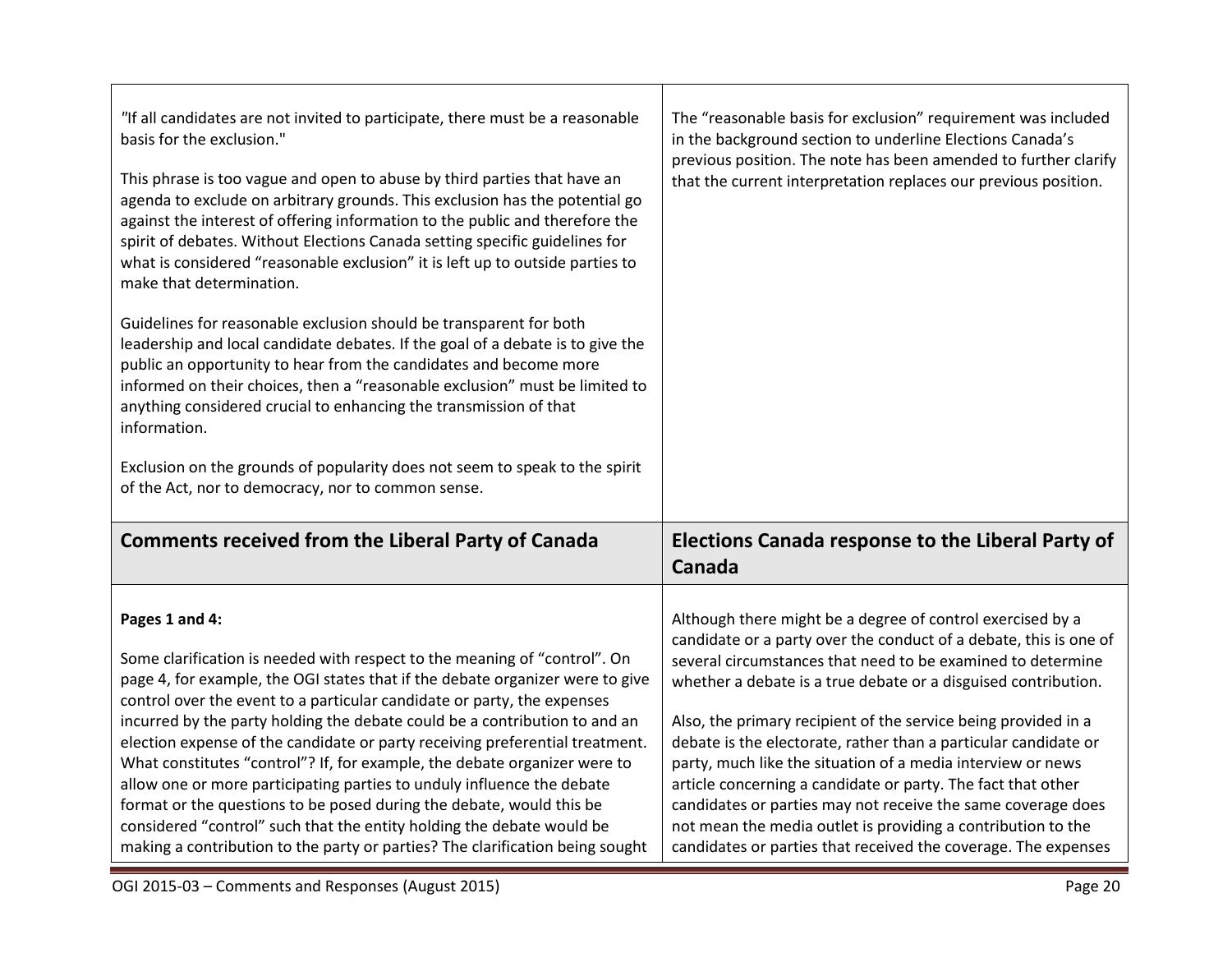| "If all candidates are not invited to participate, there must be a reasonable<br>basis for the exclusion."<br>This phrase is too vague and open to abuse by third parties that have an<br>agenda to exclude on arbitrary grounds. This exclusion has the potential go<br>against the interest of offering information to the public and therefore the<br>spirit of debates. Without Elections Canada setting specific guidelines for<br>what is considered "reasonable exclusion" it is left up to outside parties to<br>make that determination.<br>Guidelines for reasonable exclusion should be transparent for both<br>leadership and local candidate debates. If the goal of a debate is to give the<br>public an opportunity to hear from the candidates and become more<br>informed on their choices, then a "reasonable exclusion" must be limited to<br>anything considered crucial to enhancing the transmission of that<br>information.<br>Exclusion on the grounds of popularity does not seem to speak to the spirit<br>of the Act, nor to democracy, nor to common sense. | The "reasonable basis for exclusion" requirement was included<br>in the background section to underline Elections Canada's<br>previous position. The note has been amended to further clarify<br>that the current interpretation replaces our previous position.                                                                                                                                                                                                                                                                                                                                                                                                                                                                       |
|-----------------------------------------------------------------------------------------------------------------------------------------------------------------------------------------------------------------------------------------------------------------------------------------------------------------------------------------------------------------------------------------------------------------------------------------------------------------------------------------------------------------------------------------------------------------------------------------------------------------------------------------------------------------------------------------------------------------------------------------------------------------------------------------------------------------------------------------------------------------------------------------------------------------------------------------------------------------------------------------------------------------------------------------------------------------------------------------|----------------------------------------------------------------------------------------------------------------------------------------------------------------------------------------------------------------------------------------------------------------------------------------------------------------------------------------------------------------------------------------------------------------------------------------------------------------------------------------------------------------------------------------------------------------------------------------------------------------------------------------------------------------------------------------------------------------------------------------|
| <b>Comments received from the Liberal Party of Canada</b>                                                                                                                                                                                                                                                                                                                                                                                                                                                                                                                                                                                                                                                                                                                                                                                                                                                                                                                                                                                                                               | Elections Canada response to the Liberal Party of<br>Canada                                                                                                                                                                                                                                                                                                                                                                                                                                                                                                                                                                                                                                                                            |
| Pages 1 and 4:<br>Some clarification is needed with respect to the meaning of "control". On<br>page 4, for example, the OGI states that if the debate organizer were to give<br>control over the event to a particular candidate or party, the expenses<br>incurred by the party holding the debate could be a contribution to and an<br>election expense of the candidate or party receiving preferential treatment.<br>What constitutes "control"? If, for example, the debate organizer were to<br>allow one or more participating parties to unduly influence the debate<br>format or the questions to be posed during the debate, would this be<br>considered "control" such that the entity holding the debate would be<br>making a contribution to the party or parties? The clarification being sought                                                                                                                                                                                                                                                                          | Although there might be a degree of control exercised by a<br>candidate or a party over the conduct of a debate, this is one of<br>several circumstances that need to be examined to determine<br>whether a debate is a true debate or a disguised contribution.<br>Also, the primary recipient of the service being provided in a<br>debate is the electorate, rather than a particular candidate or<br>party, much like the situation of a media interview or news<br>article concerning a candidate or party. The fact that other<br>candidates or parties may not receive the same coverage does<br>not mean the media outlet is providing a contribution to the<br>candidates or parties that received the coverage. The expenses |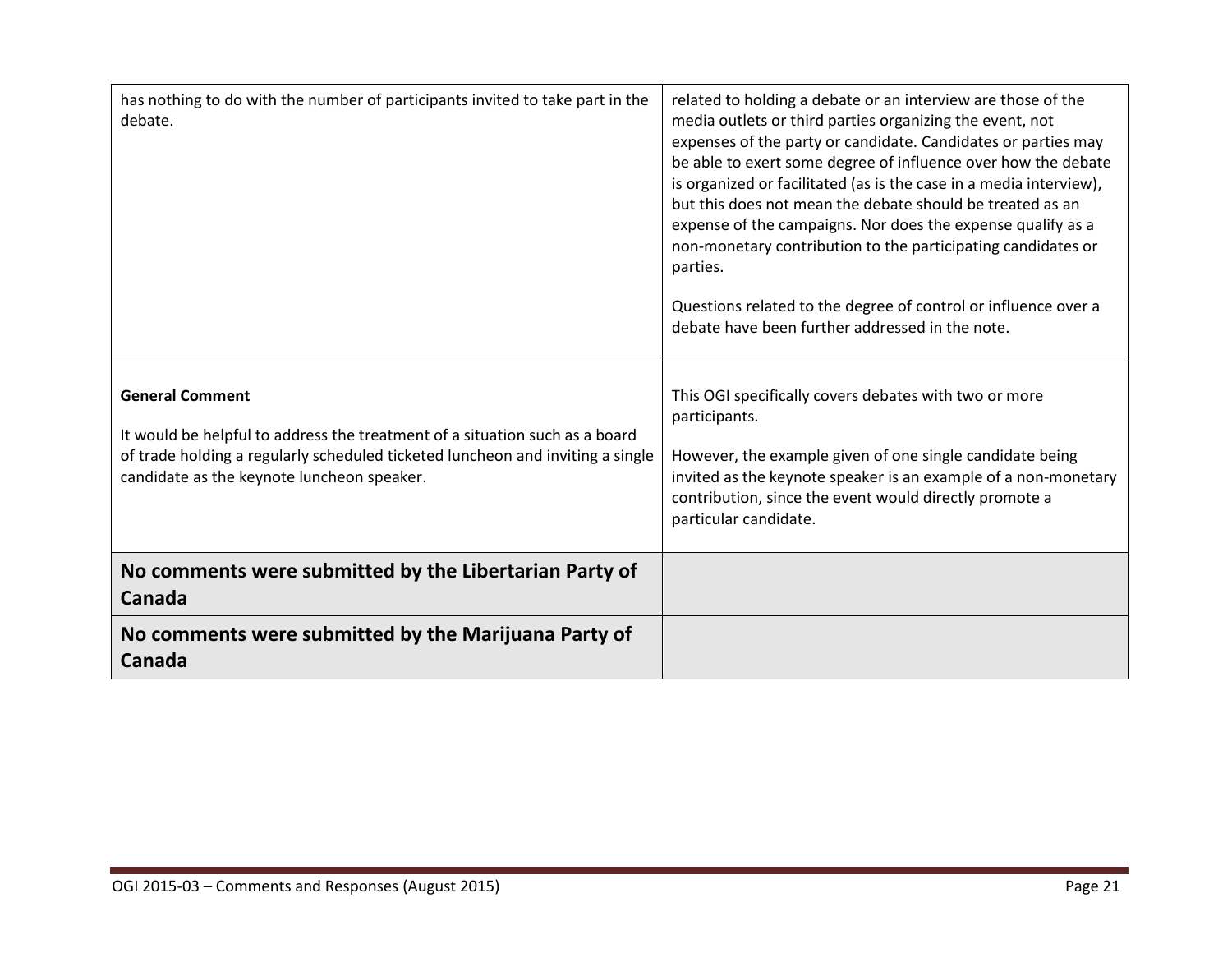| No comments were submitted by the Libertarian Party of<br>Canada                                                                                                                                                                      |                                                                                                                                                                                                                                                                                                                                                                                                                                                                                                                                                                                                                                                               |
|---------------------------------------------------------------------------------------------------------------------------------------------------------------------------------------------------------------------------------------|---------------------------------------------------------------------------------------------------------------------------------------------------------------------------------------------------------------------------------------------------------------------------------------------------------------------------------------------------------------------------------------------------------------------------------------------------------------------------------------------------------------------------------------------------------------------------------------------------------------------------------------------------------------|
|                                                                                                                                                                                                                                       |                                                                                                                                                                                                                                                                                                                                                                                                                                                                                                                                                                                                                                                               |
| <b>General Comment</b><br>It would be helpful to address the treatment of a situation such as a board<br>of trade holding a regularly scheduled ticketed luncheon and inviting a single<br>candidate as the keynote luncheon speaker. | This OGI specifically covers debates with two or more<br>participants.<br>However, the example given of one single candidate being<br>invited as the keynote speaker is an example of a non-monetary<br>contribution, since the event would directly promote a<br>particular candidate.                                                                                                                                                                                                                                                                                                                                                                       |
| has nothing to do with the number of participants invited to take part in the<br>debate.                                                                                                                                              | related to holding a debate or an interview are those of the<br>media outlets or third parties organizing the event, not<br>expenses of the party or candidate. Candidates or parties may<br>be able to exert some degree of influence over how the debate<br>is organized or facilitated (as is the case in a media interview),<br>but this does not mean the debate should be treated as an<br>expense of the campaigns. Nor does the expense qualify as a<br>non-monetary contribution to the participating candidates or<br>parties.<br>Questions related to the degree of control or influence over a<br>debate have been further addressed in the note. |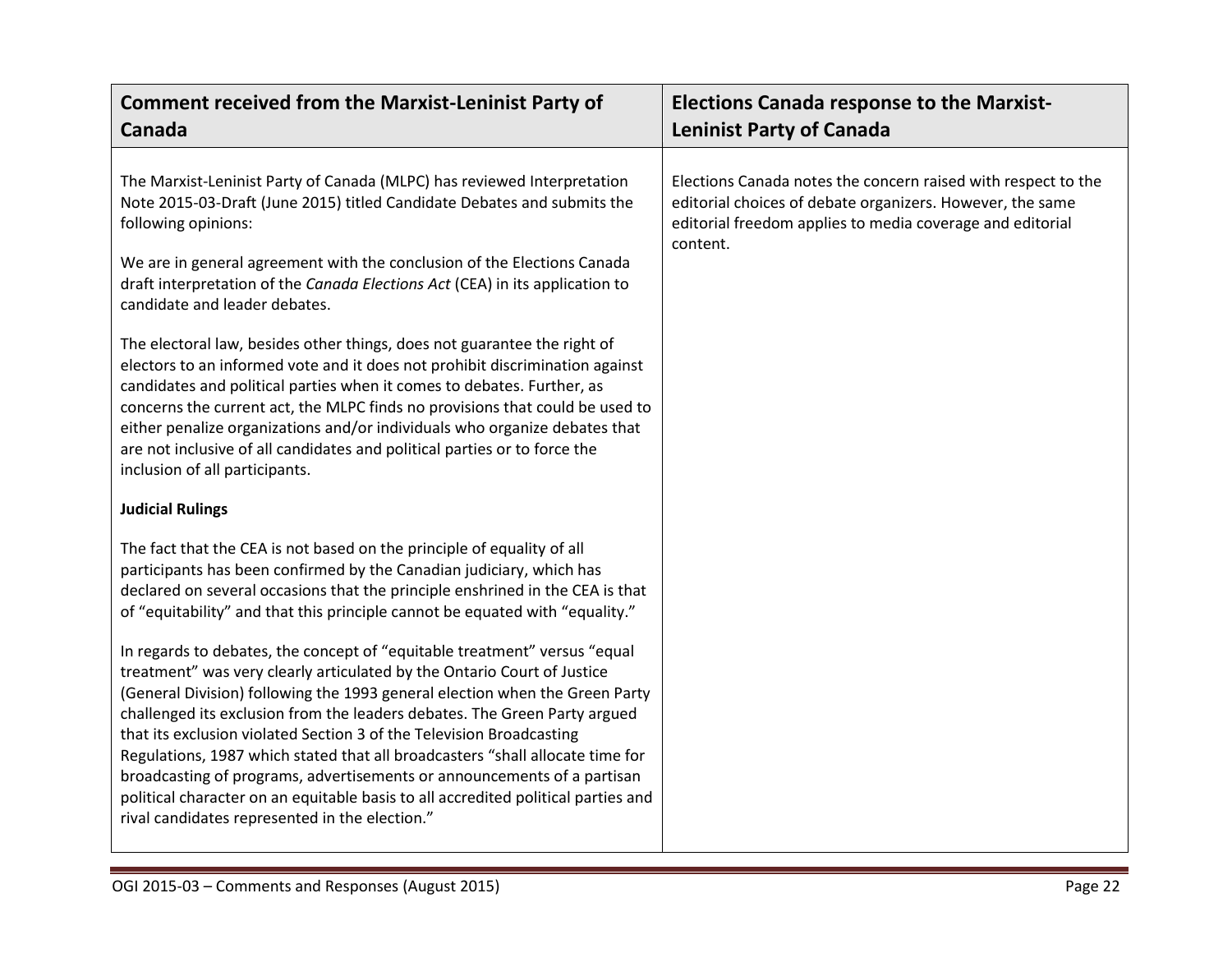| <b>Comment received from the Marxist-Leninist Party of</b>                                                                                                                                                                                                                                                                                                                                                                                                                                                                                                                                                                                                                                                                                                                                                                                                                                                                                                                                                                                                                                                                                                                                                                                                                                                                                                                                                                                                                                                                                                                                                                                                                                                                                                                                                                                                                                                                            | <b>Elections Canada response to the Marxist-</b>                                                                                                                                                    |
|---------------------------------------------------------------------------------------------------------------------------------------------------------------------------------------------------------------------------------------------------------------------------------------------------------------------------------------------------------------------------------------------------------------------------------------------------------------------------------------------------------------------------------------------------------------------------------------------------------------------------------------------------------------------------------------------------------------------------------------------------------------------------------------------------------------------------------------------------------------------------------------------------------------------------------------------------------------------------------------------------------------------------------------------------------------------------------------------------------------------------------------------------------------------------------------------------------------------------------------------------------------------------------------------------------------------------------------------------------------------------------------------------------------------------------------------------------------------------------------------------------------------------------------------------------------------------------------------------------------------------------------------------------------------------------------------------------------------------------------------------------------------------------------------------------------------------------------------------------------------------------------------------------------------------------------|-----------------------------------------------------------------------------------------------------------------------------------------------------------------------------------------------------|
| <b>Canada</b>                                                                                                                                                                                                                                                                                                                                                                                                                                                                                                                                                                                                                                                                                                                                                                                                                                                                                                                                                                                                                                                                                                                                                                                                                                                                                                                                                                                                                                                                                                                                                                                                                                                                                                                                                                                                                                                                                                                         | <b>Leninist Party of Canada</b>                                                                                                                                                                     |
| The Marxist-Leninist Party of Canada (MLPC) has reviewed Interpretation<br>Note 2015-03-Draft (June 2015) titled Candidate Debates and submits the<br>following opinions:<br>We are in general agreement with the conclusion of the Elections Canada<br>draft interpretation of the Canada Elections Act (CEA) in its application to<br>candidate and leader debates.<br>The electoral law, besides other things, does not guarantee the right of<br>electors to an informed vote and it does not prohibit discrimination against<br>candidates and political parties when it comes to debates. Further, as<br>concerns the current act, the MLPC finds no provisions that could be used to<br>either penalize organizations and/or individuals who organize debates that<br>are not inclusive of all candidates and political parties or to force the<br>inclusion of all participants.<br><b>Judicial Rulings</b><br>The fact that the CEA is not based on the principle of equality of all<br>participants has been confirmed by the Canadian judiciary, which has<br>declared on several occasions that the principle enshrined in the CEA is that<br>of "equitability" and that this principle cannot be equated with "equality."<br>In regards to debates, the concept of "equitable treatment" versus "equal<br>treatment" was very clearly articulated by the Ontario Court of Justice<br>(General Division) following the 1993 general election when the Green Party<br>challenged its exclusion from the leaders debates. The Green Party argued<br>that its exclusion violated Section 3 of the Television Broadcasting<br>Regulations, 1987 which stated that all broadcasters "shall allocate time for<br>broadcasting of programs, advertisements or announcements of a partisan<br>political character on an equitable basis to all accredited political parties and<br>rival candidates represented in the election." | Elections Canada notes the concern raised with respect to the<br>editorial choices of debate organizers. However, the same<br>editorial freedom applies to media coverage and editorial<br>content. |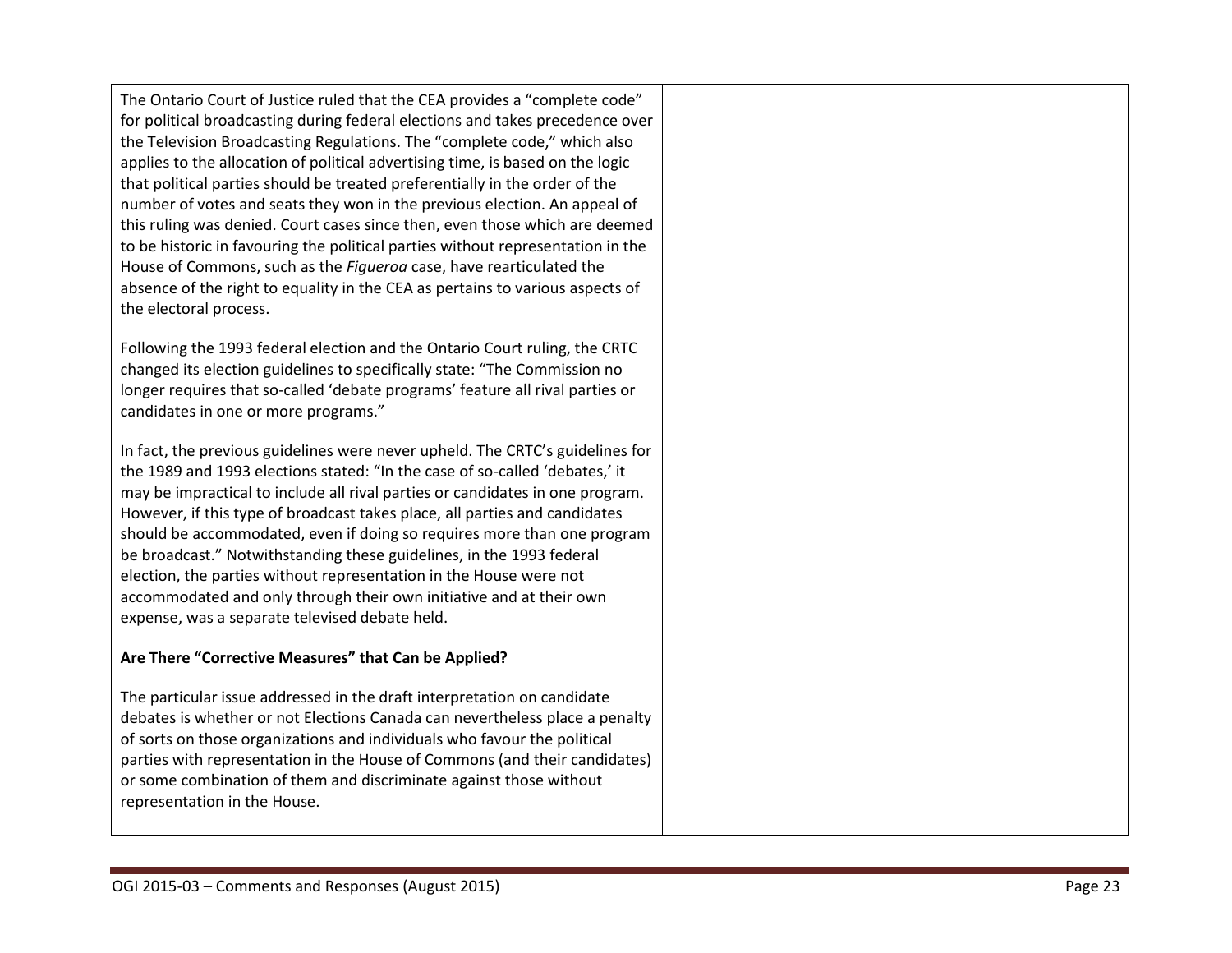The Ontario Court of Justice ruled that the CEA provides a "complete code" for political broadcasting during federal elections and takes precedence over the Television Broadcasting Regulations. The "complete code," which also applies to the allocation of political advertising time, is based on the logic that political parties should be treated preferentially in the order of the number of votes and seats they won in the previous election. An appeal of this ruling was denied. Court cases since then, even those which are deemed to be historic in favouring the political parties without representation in the House of Commons, such as the *Figueroa* case, have rearticulated the absence of the right to equality in the CEA as pertains to various aspects of the electoral process.

Following the 1993 federal election and the Ontario Court ruling, the CRTC changed its election guidelines to specifically state: "The Commission no longer requires that so -called 'debate programs' feature all rival parties or candidates in one or more programs."

In fact, the previous guidelines were never upheld. The CRTC's guidelines for the 1989 and 1993 elections stated: "In the case of so -called 'debates,' it may be impractical to include all rival parties or candidates in one program. However, if this type of broadcast takes place, all parties and candidates should be accommodated, even if doing so requires more than one program be broadcast." Notwithstanding these guidelines, in the 1993 federal election, the parties without representation in the House were not accommodated and only through their own initiative and at their own expense, was a separate televised debate held.

## **Are There "Corrective Measures" that Can be Applied?**

The particular issue addressed in the draft interpretation on candidate debates is whether or not Elections Canada can nevertheless place a penalty of sorts on those organizations and individuals who favour the political parties with representation in the House of Commons (and their candidates) or some combination of them and discriminate against those without representation in the House.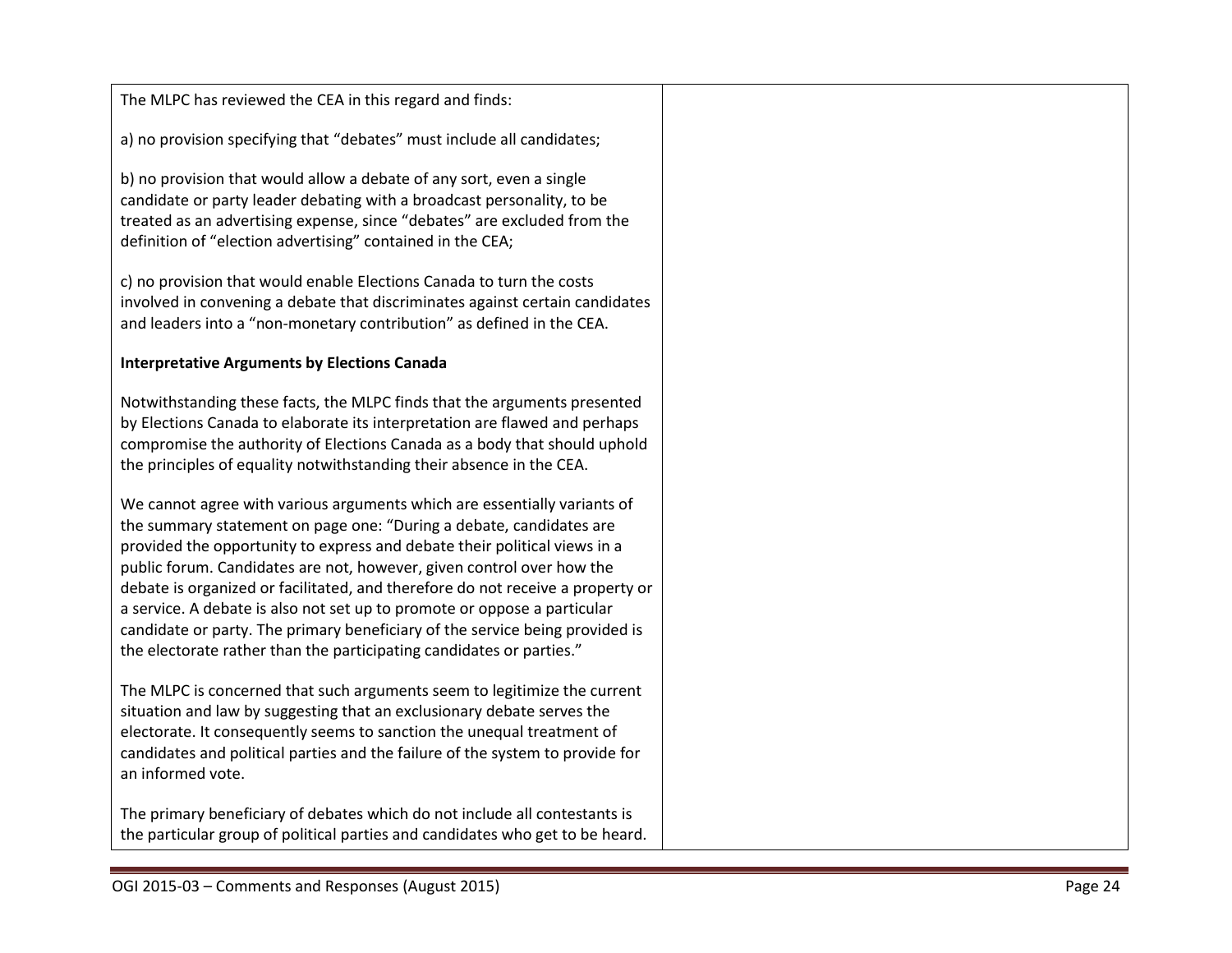| The MLPC has reviewed the CEA in this regard and finds:                                                                                                                                                                                                                                                                                                                                                                                                                                                                                                                                                                     |  |
|-----------------------------------------------------------------------------------------------------------------------------------------------------------------------------------------------------------------------------------------------------------------------------------------------------------------------------------------------------------------------------------------------------------------------------------------------------------------------------------------------------------------------------------------------------------------------------------------------------------------------------|--|
| a) no provision specifying that "debates" must include all candidates;                                                                                                                                                                                                                                                                                                                                                                                                                                                                                                                                                      |  |
| b) no provision that would allow a debate of any sort, even a single<br>candidate or party leader debating with a broadcast personality, to be<br>treated as an advertising expense, since "debates" are excluded from the<br>definition of "election advertising" contained in the CEA;                                                                                                                                                                                                                                                                                                                                    |  |
| c) no provision that would enable Elections Canada to turn the costs<br>involved in convening a debate that discriminates against certain candidates<br>and leaders into a "non-monetary contribution" as defined in the CEA.                                                                                                                                                                                                                                                                                                                                                                                               |  |
| <b>Interpretative Arguments by Elections Canada</b>                                                                                                                                                                                                                                                                                                                                                                                                                                                                                                                                                                         |  |
| Notwithstanding these facts, the MLPC finds that the arguments presented<br>by Elections Canada to elaborate its interpretation are flawed and perhaps<br>compromise the authority of Elections Canada as a body that should uphold<br>the principles of equality notwithstanding their absence in the CEA.                                                                                                                                                                                                                                                                                                                 |  |
| We cannot agree with various arguments which are essentially variants of<br>the summary statement on page one: "During a debate, candidates are<br>provided the opportunity to express and debate their political views in a<br>public forum. Candidates are not, however, given control over how the<br>debate is organized or facilitated, and therefore do not receive a property or<br>a service. A debate is also not set up to promote or oppose a particular<br>candidate or party. The primary beneficiary of the service being provided is<br>the electorate rather than the participating candidates or parties." |  |
| The MLPC is concerned that such arguments seem to legitimize the current<br>situation and law by suggesting that an exclusionary debate serves the<br>electorate. It consequently seems to sanction the unequal treatment of<br>candidates and political parties and the failure of the system to provide for<br>an informed vote.                                                                                                                                                                                                                                                                                          |  |
| The primary beneficiary of debates which do not include all contestants is<br>the particular group of political parties and candidates who get to be heard.                                                                                                                                                                                                                                                                                                                                                                                                                                                                 |  |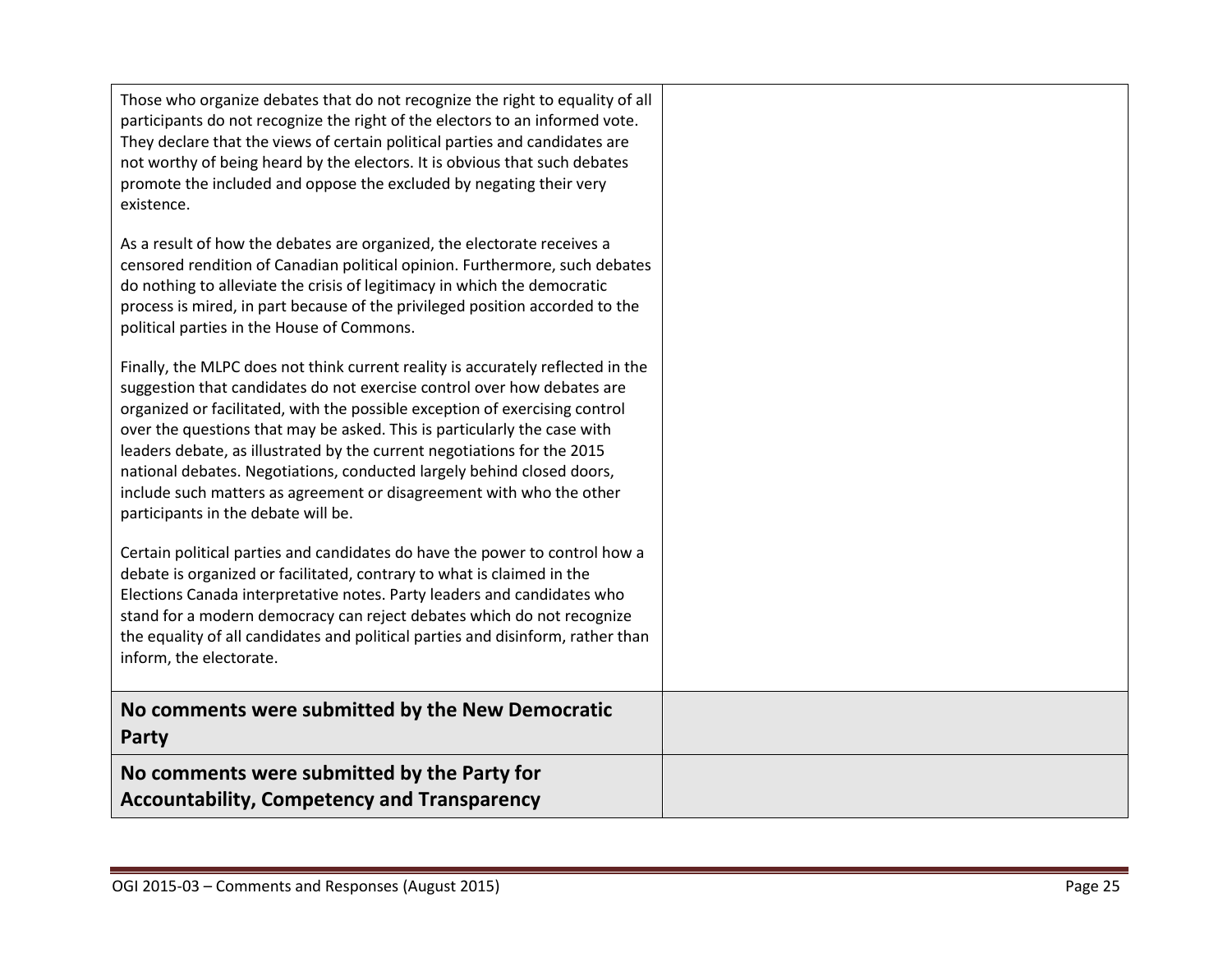| Those who organize debates that do not recognize the right to equality of all<br>participants do not recognize the right of the electors to an informed vote.<br>They declare that the views of certain political parties and candidates are<br>not worthy of being heard by the electors. It is obvious that such debates<br>promote the included and oppose the excluded by negating their very<br>existence.                                                                                                                                                                           |  |
|-------------------------------------------------------------------------------------------------------------------------------------------------------------------------------------------------------------------------------------------------------------------------------------------------------------------------------------------------------------------------------------------------------------------------------------------------------------------------------------------------------------------------------------------------------------------------------------------|--|
| As a result of how the debates are organized, the electorate receives a<br>censored rendition of Canadian political opinion. Furthermore, such debates<br>do nothing to alleviate the crisis of legitimacy in which the democratic<br>process is mired, in part because of the privileged position accorded to the<br>political parties in the House of Commons.                                                                                                                                                                                                                          |  |
| Finally, the MLPC does not think current reality is accurately reflected in the<br>suggestion that candidates do not exercise control over how debates are<br>organized or facilitated, with the possible exception of exercising control<br>over the questions that may be asked. This is particularly the case with<br>leaders debate, as illustrated by the current negotiations for the 2015<br>national debates. Negotiations, conducted largely behind closed doors,<br>include such matters as agreement or disagreement with who the other<br>participants in the debate will be. |  |
| Certain political parties and candidates do have the power to control how a<br>debate is organized or facilitated, contrary to what is claimed in the<br>Elections Canada interpretative notes. Party leaders and candidates who<br>stand for a modern democracy can reject debates which do not recognize<br>the equality of all candidates and political parties and disinform, rather than<br>inform, the electorate.                                                                                                                                                                  |  |
| No comments were submitted by the New Democratic<br>Party                                                                                                                                                                                                                                                                                                                                                                                                                                                                                                                                 |  |
| No comments were submitted by the Party for<br><b>Accountability, Competency and Transparency</b>                                                                                                                                                                                                                                                                                                                                                                                                                                                                                         |  |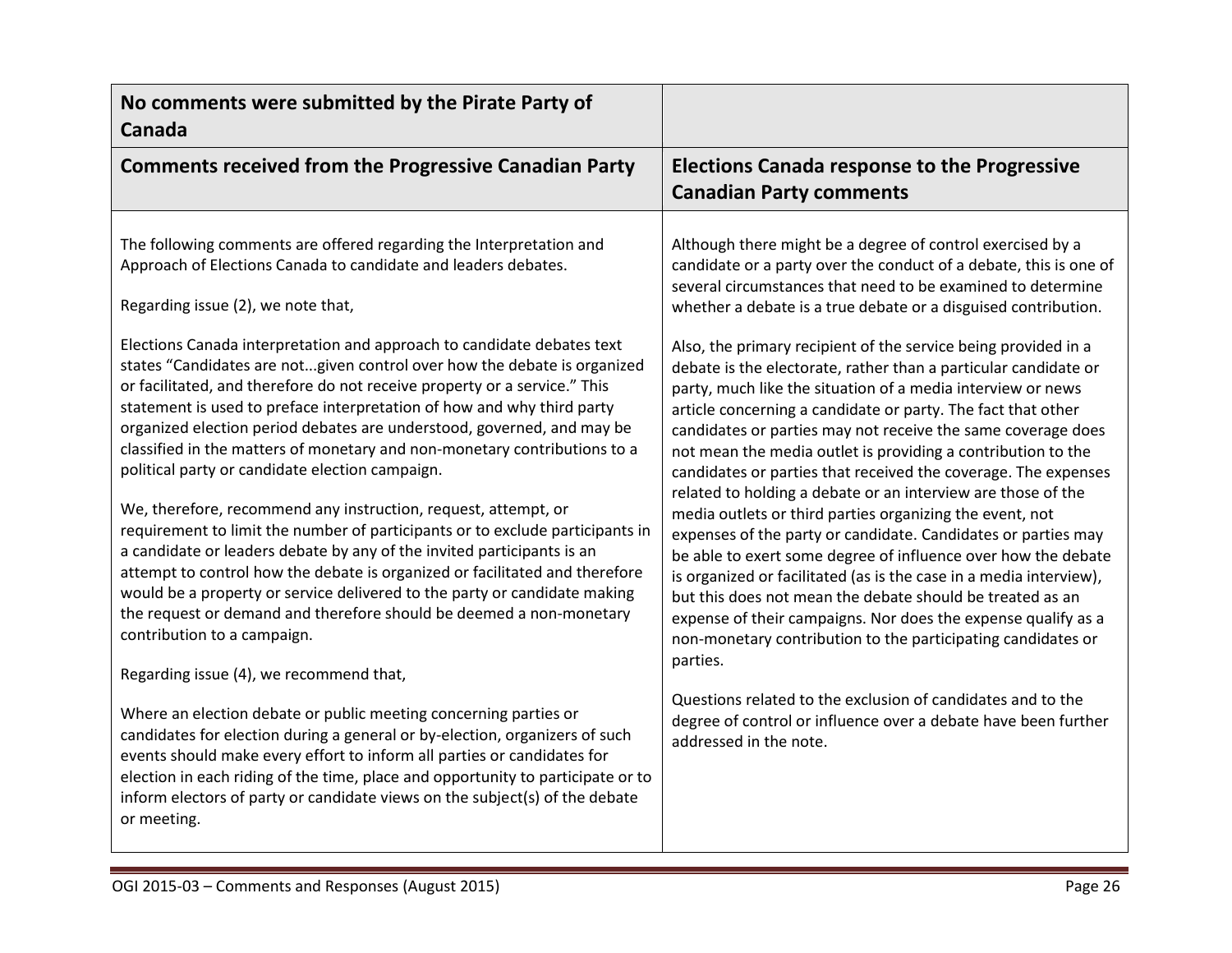| No comments were submitted by the Pirate Party of<br>Canada                                                                                                                                                                                                                                                                                                                                                                                                                                                                                                                                                                                                                                                                                                                                                                                                                                                                                                                                                                                                                                                                                                                                                                                                                                                                                                                                                                                                                                                                                                                                                                                                 |                                                                                                                                                                                                                                                                                                                                                                                                                                                                                                                                                                                                                                                                                                                                                                                                                                                                                                                                                                                                                                                                                                                                                                                                                                                                                                                                                                                                                                                 |
|-------------------------------------------------------------------------------------------------------------------------------------------------------------------------------------------------------------------------------------------------------------------------------------------------------------------------------------------------------------------------------------------------------------------------------------------------------------------------------------------------------------------------------------------------------------------------------------------------------------------------------------------------------------------------------------------------------------------------------------------------------------------------------------------------------------------------------------------------------------------------------------------------------------------------------------------------------------------------------------------------------------------------------------------------------------------------------------------------------------------------------------------------------------------------------------------------------------------------------------------------------------------------------------------------------------------------------------------------------------------------------------------------------------------------------------------------------------------------------------------------------------------------------------------------------------------------------------------------------------------------------------------------------------|-------------------------------------------------------------------------------------------------------------------------------------------------------------------------------------------------------------------------------------------------------------------------------------------------------------------------------------------------------------------------------------------------------------------------------------------------------------------------------------------------------------------------------------------------------------------------------------------------------------------------------------------------------------------------------------------------------------------------------------------------------------------------------------------------------------------------------------------------------------------------------------------------------------------------------------------------------------------------------------------------------------------------------------------------------------------------------------------------------------------------------------------------------------------------------------------------------------------------------------------------------------------------------------------------------------------------------------------------------------------------------------------------------------------------------------------------|
| <b>Comments received from the Progressive Canadian Party</b>                                                                                                                                                                                                                                                                                                                                                                                                                                                                                                                                                                                                                                                                                                                                                                                                                                                                                                                                                                                                                                                                                                                                                                                                                                                                                                                                                                                                                                                                                                                                                                                                | <b>Elections Canada response to the Progressive</b><br><b>Canadian Party comments</b>                                                                                                                                                                                                                                                                                                                                                                                                                                                                                                                                                                                                                                                                                                                                                                                                                                                                                                                                                                                                                                                                                                                                                                                                                                                                                                                                                           |
| The following comments are offered regarding the Interpretation and<br>Approach of Elections Canada to candidate and leaders debates.<br>Regarding issue (2), we note that,<br>Elections Canada interpretation and approach to candidate debates text<br>states "Candidates are notgiven control over how the debate is organized<br>or facilitated, and therefore do not receive property or a service." This<br>statement is used to preface interpretation of how and why third party<br>organized election period debates are understood, governed, and may be<br>classified in the matters of monetary and non-monetary contributions to a<br>political party or candidate election campaign.<br>We, therefore, recommend any instruction, request, attempt, or<br>requirement to limit the number of participants or to exclude participants in<br>a candidate or leaders debate by any of the invited participants is an<br>attempt to control how the debate is organized or facilitated and therefore<br>would be a property or service delivered to the party or candidate making<br>the request or demand and therefore should be deemed a non-monetary<br>contribution to a campaign.<br>Regarding issue (4), we recommend that,<br>Where an election debate or public meeting concerning parties or<br>candidates for election during a general or by-election, organizers of such<br>events should make every effort to inform all parties or candidates for<br>election in each riding of the time, place and opportunity to participate or to<br>inform electors of party or candidate views on the subject(s) of the debate<br>or meeting. | Although there might be a degree of control exercised by a<br>candidate or a party over the conduct of a debate, this is one of<br>several circumstances that need to be examined to determine<br>whether a debate is a true debate or a disguised contribution.<br>Also, the primary recipient of the service being provided in a<br>debate is the electorate, rather than a particular candidate or<br>party, much like the situation of a media interview or news<br>article concerning a candidate or party. The fact that other<br>candidates or parties may not receive the same coverage does<br>not mean the media outlet is providing a contribution to the<br>candidates or parties that received the coverage. The expenses<br>related to holding a debate or an interview are those of the<br>media outlets or third parties organizing the event, not<br>expenses of the party or candidate. Candidates or parties may<br>be able to exert some degree of influence over how the debate<br>is organized or facilitated (as is the case in a media interview),<br>but this does not mean the debate should be treated as an<br>expense of their campaigns. Nor does the expense qualify as a<br>non-monetary contribution to the participating candidates or<br>parties.<br>Questions related to the exclusion of candidates and to the<br>degree of control or influence over a debate have been further<br>addressed in the note. |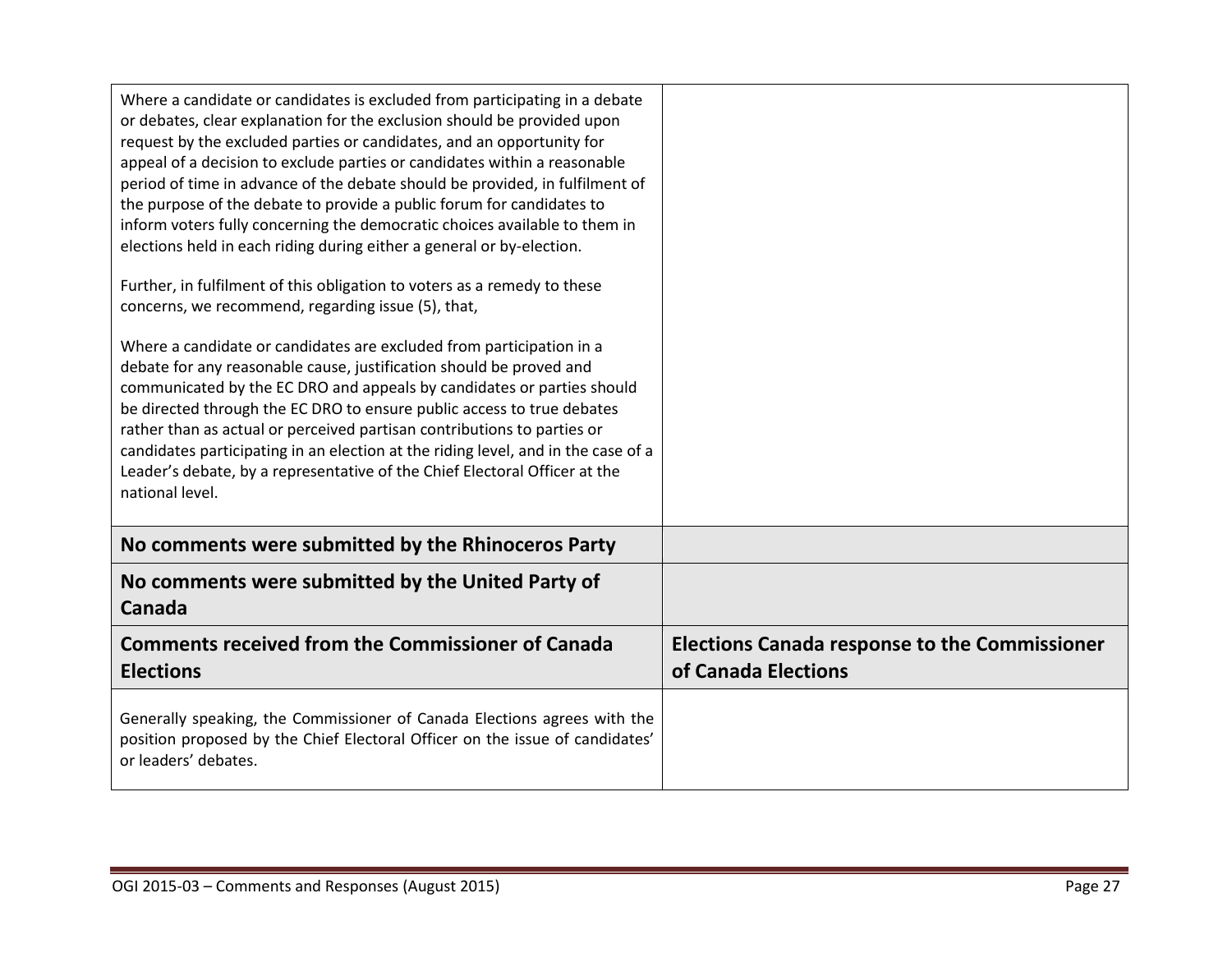| Where a candidate or candidates is excluded from participating in a debate<br>or debates, clear explanation for the exclusion should be provided upon<br>request by the excluded parties or candidates, and an opportunity for<br>appeal of a decision to exclude parties or candidates within a reasonable<br>period of time in advance of the debate should be provided, in fulfilment of<br>the purpose of the debate to provide a public forum for candidates to<br>inform voters fully concerning the democratic choices available to them in<br>elections held in each riding during either a general or by-election.<br>Further, in fulfilment of this obligation to voters as a remedy to these<br>concerns, we recommend, regarding issue (5), that,<br>Where a candidate or candidates are excluded from participation in a<br>debate for any reasonable cause, justification should be proved and<br>communicated by the EC DRO and appeals by candidates or parties should<br>be directed through the EC DRO to ensure public access to true debates<br>rather than as actual or perceived partisan contributions to parties or<br>candidates participating in an election at the riding level, and in the case of a<br>Leader's debate, by a representative of the Chief Electoral Officer at the<br>national level. |                                                                             |
|-----------------------------------------------------------------------------------------------------------------------------------------------------------------------------------------------------------------------------------------------------------------------------------------------------------------------------------------------------------------------------------------------------------------------------------------------------------------------------------------------------------------------------------------------------------------------------------------------------------------------------------------------------------------------------------------------------------------------------------------------------------------------------------------------------------------------------------------------------------------------------------------------------------------------------------------------------------------------------------------------------------------------------------------------------------------------------------------------------------------------------------------------------------------------------------------------------------------------------------------------------------------------------------------------------------------------------------|-----------------------------------------------------------------------------|
| No comments were submitted by the Rhinoceros Party                                                                                                                                                                                                                                                                                                                                                                                                                                                                                                                                                                                                                                                                                                                                                                                                                                                                                                                                                                                                                                                                                                                                                                                                                                                                                |                                                                             |
| No comments were submitted by the United Party of<br>Canada                                                                                                                                                                                                                                                                                                                                                                                                                                                                                                                                                                                                                                                                                                                                                                                                                                                                                                                                                                                                                                                                                                                                                                                                                                                                       |                                                                             |
| <b>Comments received from the Commissioner of Canada</b><br><b>Elections</b>                                                                                                                                                                                                                                                                                                                                                                                                                                                                                                                                                                                                                                                                                                                                                                                                                                                                                                                                                                                                                                                                                                                                                                                                                                                      | <b>Elections Canada response to the Commissioner</b><br>of Canada Elections |
| Generally speaking, the Commissioner of Canada Elections agrees with the<br>position proposed by the Chief Electoral Officer on the issue of candidates'<br>or leaders' debates.                                                                                                                                                                                                                                                                                                                                                                                                                                                                                                                                                                                                                                                                                                                                                                                                                                                                                                                                                                                                                                                                                                                                                  |                                                                             |